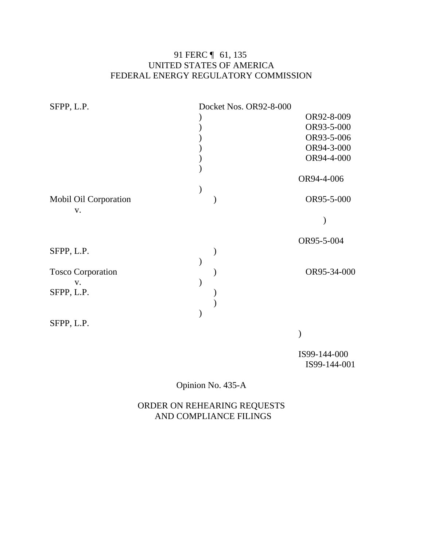# 91 FERC ¶ 61, 135 UNITED STATES OF AMERICA FEDERAL ENERGY REGULATORY COMMISSION

| SFPP, L.P.               | Docket Nos. OR92-8-000 |              |
|--------------------------|------------------------|--------------|
|                          |                        | OR92-8-009   |
|                          |                        | OR93-5-000   |
|                          |                        | OR93-5-006   |
|                          |                        | OR94-3-000   |
|                          |                        | OR94-4-000   |
|                          |                        |              |
|                          |                        | OR94-4-006   |
|                          |                        |              |
| Mobil Oil Corporation    |                        | OR95-5-000   |
| V.                       |                        |              |
|                          |                        |              |
|                          |                        | OR95-5-004   |
| SFPP, L.P.               |                        |              |
|                          |                        |              |
| <b>Tosco Corporation</b> |                        | OR95-34-000  |
| V.                       |                        |              |
| SFPP, L.P.               |                        |              |
|                          |                        |              |
|                          |                        |              |
| SFPP, L.P.               |                        |              |
|                          |                        |              |
|                          |                        | IS99-144-000 |

IS99-144-001

Opinion No. 435-A

ORDER ON REHEARING REQUESTS AND COMPLIANCE FILINGS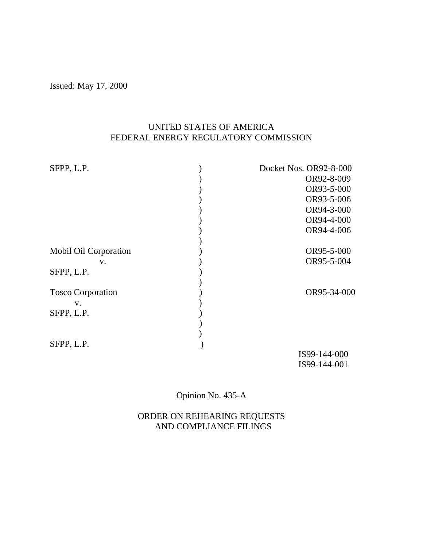Issued: May 17, 2000

# UNITED STATES OF AMERICA FEDERAL ENERGY REGULATORY COMMISSION

| SFPP, L.P.               | Docket Nos. OR92-8-000 |
|--------------------------|------------------------|
|                          | OR92-8-009             |
|                          | OR93-5-000             |
|                          | OR93-5-006             |
|                          | OR94-3-000             |
|                          | OR94-4-000             |
|                          | OR94-4-006             |
|                          |                        |
| Mobil Oil Corporation    | OR95-5-000             |
| V.                       | OR95-5-004             |
| SFPP, L.P.               |                        |
| <b>Tosco Corporation</b> | OR95-34-000            |
| V.                       |                        |
| SFPP, L.P.               |                        |
|                          |                        |
|                          |                        |
| SFPP, L.P.               |                        |
|                          | IS99-144-000           |
|                          | IS99-144-001           |

Opinion No. 435-A

## ORDER ON REHEARING REQUESTS AND COMPLIANCE FILINGS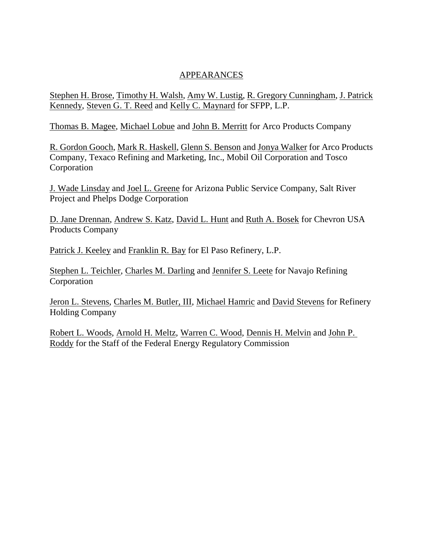## APPEARANCES

Stephen H. Brose, Timothy H. Walsh, Amy W. Lustig, R. Gregory Cunningham, J. Patrick Kennedy, Steven G. T. Reed and Kelly C. Maynard for SFPP, L.P.

Thomas B. Magee, Michael Lobue and John B. Merritt for Arco Products Company

R. Gordon Gooch, Mark R. Haskell, Glenn S. Benson and Jonya Walker for Arco Products Company, Texaco Refining and Marketing, Inc., Mobil Oil Corporation and Tosco Corporation

J. Wade Linsday and Joel L. Greene for Arizona Public Service Company, Salt River Project and Phelps Dodge Corporation

D. Jane Drennan, Andrew S. Katz, David L. Hunt and Ruth A. Bosek for Chevron USA Products Company

Patrick J. Keeley and Franklin R. Bay for El Paso Refinery, L.P.

Stephen L. Teichler, Charles M. Darling and Jennifer S. Leete for Navajo Refining Corporation

Jeron L. Stevens, Charles M. Butler, III, Michael Hamric and David Stevens for Refinery Holding Company

Robert L. Woods, Arnold H. Meltz, Warren C. Wood, Dennis H. Melvin and John P. Roddy for the Staff of the Federal Energy Regulatory Commission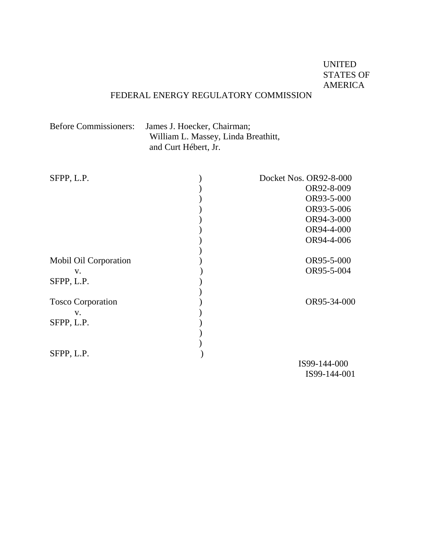# UNITED STATES OF AMERICA

# FEDERAL ENERGY REGULATORY COMMISSION

| <b>Before Commissioners:</b> | James J. Hoecker, Chairman;         |
|------------------------------|-------------------------------------|
|                              | William L. Massey, Linda Breathitt, |
|                              | and Curt Hébert, Jr.                |

| SFPP, L.P.               | Docket Nos. OR92-8-000 |
|--------------------------|------------------------|
|                          | OR92-8-009             |
|                          | OR93-5-000             |
|                          | OR93-5-006             |
|                          | OR94-3-000             |
|                          | OR94-4-000             |
|                          | OR94-4-006             |
|                          |                        |
| Mobil Oil Corporation    | OR95-5-000             |
| $V_{\star}$              | OR95-5-004             |
| SFPP, L.P.               |                        |
|                          |                        |
| <b>Tosco Corporation</b> | OR95-34-000            |
| V.                       |                        |
| SFPP, L.P.               |                        |
|                          |                        |
|                          |                        |
| SFPP, L.P.               |                        |
|                          | IS99-144-000           |
|                          | IS99-144-001           |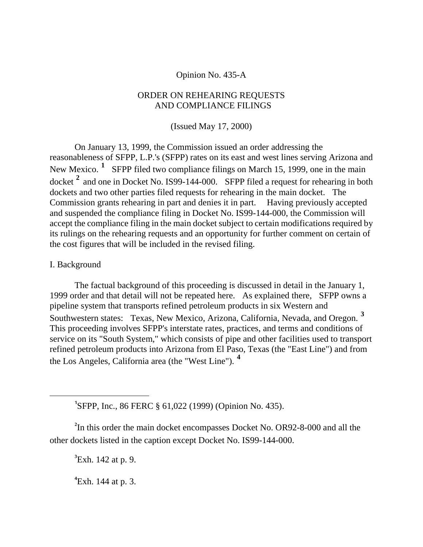### Opinion No. 435-A

### ORDER ON REHEARING REQUESTS AND COMPLIANCE FILINGS

(Issued May 17, 2000)

On January 13, 1999, the Commission issued an order addressing the reasonableness of SFPP, L.P.'s (SFPP) rates on its east and west lines serving Arizona and New Mexico.<sup>[1](#page-4-0)</sup> SFPP filed two compliance filings on March 15, 1999, one in the main docket **[2](#page-4-1)** and one in Docket No. IS99-144-000. SFPP filed a request for rehearing in both dockets and two other parties filed requests for rehearing in the main docket. The Commission grants rehearing in part and denies it in part. Having previously accepted and suspended the compliance filing in Docket No. IS99-144-000, the Commission will accept the compliance filing in the main docket subject to certain modifications required by its rulings on the rehearing requests and an opportunity for further comment on certain of the cost figures that will be included in the revised filing.

### I. Background

<span id="page-4-0"></span> $\overline{a}$ 

The factual background of this proceeding is discussed in detail in the January 1, 1999 order and that detail will not be repeated here. As explained there, SFPP owns a pipeline system that transports refined petroleum products in six Western and Southwestern states: Texas, New Mexico, Arizona, California, Nevada, and Oregon. **[3](#page-4-2)** This proceeding involves SFPP's interstate rates, practices, and terms and conditions of service on its "South System," which consists of pipe and other facilities used to transport refined petroleum products into Arizona from El Paso, Texas (the "East Line") and from the Los Angeles, California area (the "West Line"). **[4](#page-4-3)**

**1** SFPP, Inc., 86 FERC § 61,022 (1999) (Opinion No. 435).

<span id="page-4-3"></span><span id="page-4-2"></span><span id="page-4-1"></span><sup>2</sup>In this order the main docket encompasses Docket No. OR92-8-000 and all the other dockets listed in the caption except Docket No. IS99-144-000.

**3** Exh. 142 at p. 9.

**4** Exh. 144 at p. 3.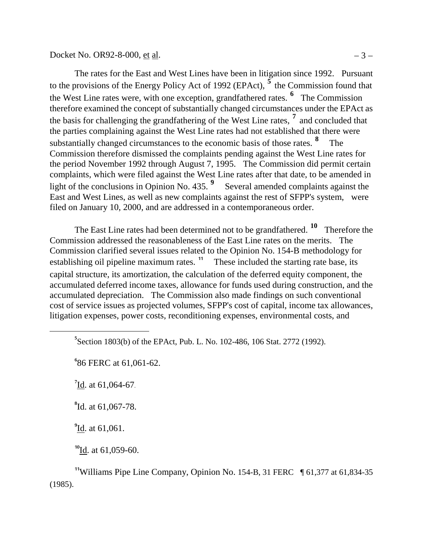Docket No. OR92-8-000, et al.  $-3 -$ 

The rates for the East and West Lines have been in litigation since 1992. Pursuant to the provisions of the Energy Policy Act of 1992 (EPAct), **[5](#page-6-0)** the Commission found that the West Line rates were, with one exception, grandfathered rates. **[6](#page-6-1)** The Commission therefore examined the concept of substantially changed circumstances under the EPAct as the basis for challenging the grandfathering of the West Line rates, **[7](#page-6-2)** and concluded that the parties complaining against the West Line rates had not established that there were substantially changed circumstances to the economic basis of those rates. **[8](#page-6-3)** The Commission therefore dismissed the complaints pending against the West Line rates for the period November 1992 through August 7, 1995. The Commission did permit certain complaints, which were filed against the West Line rates after that date, to be amended in light of the conclusions in Opinion No. 435. **[9](#page-6-4)** Several amended complaints against the East and West Lines, as well as new complaints against the rest of SFPP's system, were filed on January 10, 2000, and are addressed in a contemporaneous order.

The East Line rates had been determined not to be grandfathered. **[10](#page-6-5)** Therefore the Commission addressed the reasonableness of the East Line rates on the merits. The Commission clarified several issues related to the Opinion No. 154-B methodology for establishing oil pipeline maximum rates.<sup>[11](#page-6-6)</sup> These included the starting rate base, its capital structure, its amortization, the calculation of the deferred equity component, the accumulated deferred income taxes, allowance for funds used during construction, and the accumulated depreciation. The Commission also made findings on such conventional cost of service issues as projected volumes, SFPP's cost of capital, income tax allowances, litigation expenses, power costs, reconditioning expenses, environmental costs, and

**6** 86 FERC at 61,061-62.

<sup>7</sup>Id. at 61,064-67.

<span id="page-6-2"></span><span id="page-6-1"></span><span id="page-6-0"></span> $\overline{a}$ 

<span id="page-6-3"></span>**8** Id. at 61,067-78.

<sup>9</sup><sup>I</sup><u>d</u>. at 61,061.

**<sup>10</sup>**Id. at 61,059-60.

<span id="page-6-6"></span><span id="page-6-5"></span><span id="page-6-4"></span><sup>11</sup>Williams Pipe Line Company, Opinion No. 154-B, 31 FERC  $\parallel$  61,377 at 61,834-35 (1985).

<sup>&</sup>lt;sup>5</sup> Section 1803(b) of the EPAct, Pub. L. No. 102-486, 106 Stat. 2772 (1992).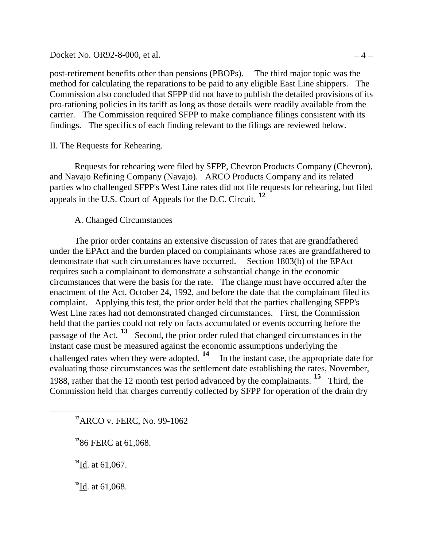Docket No. OR92-8-000, <u>et al</u>.  $-4 -$ 

post-retirement benefits other than pensions (PBOPs). The third major topic was the method for calculating the reparations to be paid to any eligible East Line shippers. The Commission also concluded that SFPP did not have to publish the detailed provisions of its pro-rationing policies in its tariff as long as those details were readily available from the carrier. The Commission required SFPP to make compliance filings consistent with its findings. The specifics of each finding relevant to the filings are reviewed below.

II. The Requests for Rehearing.

Requests for rehearing were filed by SFPP, Chevron Products Company (Chevron), and Navajo Refining Company (Navajo). ARCO Products Company and its related parties who challenged SFPP's West Line rates did not file requests for rehearing, but filed appeals in the U.S. Court of Appeals for the D.C. Circuit. **[12](#page-7-0)**

### A. Changed Circumstances

The prior order contains an extensive discussion of rates that are grandfathered under the EPAct and the burden placed on complainants whose rates are grandfathered to demonstrate that such circumstances have occurred. Section 1803(b) of the EPAct requires such a complainant to demonstrate a substantial change in the economic circumstances that were the basis for the rate. The change must have occurred after the enactment of the Act, October 24, 1992, and before the date that the complainant filed its complaint. Applying this test, the prior order held that the parties challenging SFPP's West Line rates had not demonstrated changed circumstances. First, the Commission held that the parties could not rely on facts accumulated or events occurring before the passage of the Act. **[13](#page-7-1)** Second, the prior order ruled that changed circumstances in the instant case must be measured against the economic assumptions underlying the challenged rates when they were adopted. **[14](#page-7-2)** In the instant case, the appropriate date for evaluating those circumstances was the settlement date establishing the rates, November, 1988, rather that the 12 month test period advanced by the complainants. **[15](#page-7-3)** Third, the Commission held that charges currently collected by SFPP for operation of the drain dry

**<sup>12</sup>**ARCO v. FERC, No. 99-1062

**<sup>13</sup>**86 FERC at 61,068.

**<sup>14</sup>**Id. at 61,067.

<span id="page-7-2"></span><span id="page-7-1"></span><span id="page-7-0"></span> $\overline{a}$ 

<span id="page-7-3"></span>**<sup>15</sup>**Id. at 61,068.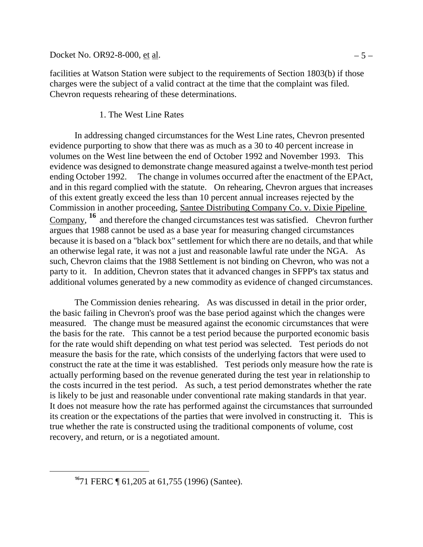Docket No. OR92-8-000, <u>et al</u>.  $-5 -$ 

facilities at Watson Station were subject to the requirements of Section 1803(b) if those charges were the subject of a valid contract at the time that the complaint was filed. Chevron requests rehearing of these determinations.

## 1. The West Line Rates

In addressing changed circumstances for the West Line rates, Chevron presented evidence purporting to show that there was as much as a 30 to 40 percent increase in volumes on the West line between the end of October 1992 and November 1993. This evidence was designed to demonstrate change measured against a twelve-month test period ending October 1992. The change in volumes occurred after the enactment of the EPAct, and in this regard complied with the statute. On rehearing, Chevron argues that increases of this extent greatly exceed the less than 10 percent annual increases rejected by the Commission in another proceeding, Santee Distributing Company Co. v. Dixie Pipeline Company, **[16](#page-8-0)** and therefore the changed circumstances test was satisfied. Chevron further argues that 1988 cannot be used as a base year for measuring changed circumstances because it is based on a "black box" settlement for which there are no details, and that while an otherwise legal rate, it was not a just and reasonable lawful rate under the NGA. As such, Chevron claims that the 1988 Settlement is not binding on Chevron, who was not a party to it. In addition, Chevron states that it advanced changes in SFPP's tax status and additional volumes generated by a new commodity as evidence of changed circumstances.

The Commission denies rehearing. As was discussed in detail in the prior order, the basic failing in Chevron's proof was the base period against which the changes were measured. The change must be measured against the economic circumstances that were the basis for the rate. This cannot be a test period because the purported economic basis for the rate would shift depending on what test period was selected. Test periods do not measure the basis for the rate, which consists of the underlying factors that were used to construct the rate at the time it was established. Test periods only measure how the rate is actually performing based on the revenue generated during the test year in relationship to the costs incurred in the test period. As such, a test period demonstrates whether the rate is likely to be just and reasonable under conventional rate making standards in that year. It does not measure how the rate has performed against the circumstances that surrounded its creation or the expectations of the parties that were involved in constructing it. This is true whether the rate is constructed using the traditional components of volume, cost recovery, and return, or is a negotiated amount.

<span id="page-8-0"></span>**<sup>16</sup>**71 FERC ¶ 61,205 at 61,755 (1996) (Santee).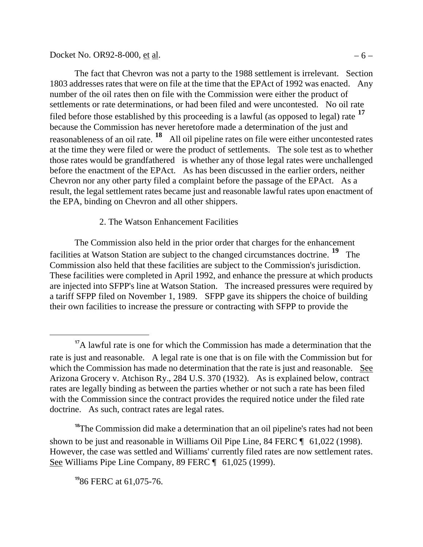Docket No. OR92-8-000, <u>et al</u>.  $-6 -$ 

The fact that Chevron was not a party to the 1988 settlement is irrelevant. Section 1803 addresses rates that were on file at the time that the EPAct of 1992 was enacted. Any number of the oil rates then on file with the Commission were either the product of settlements or rate determinations, or had been filed and were uncontested. No oil rate filed before those established by this proceeding is a lawful (as opposed to legal) rate **[17](#page-9-0)** because the Commission has never heretofore made a determination of the just and reasonableness of an oil rate. **[18](#page-9-1)** All oil pipeline rates on file were either uncontested rates at the time they were filed or were the product of settlements. The sole test as to whether those rates would be grandfathered is whether any of those legal rates were unchallenged before the enactment of the EPAct. As has been discussed in the earlier orders, neither Chevron nor any other party filed a complaint before the passage of the EPAct. As a result, the legal settlement rates became just and reasonable lawful rates upon enactment of the EPA, binding on Chevron and all other shippers.

# 2. The Watson Enhancement Facilities

The Commission also held in the prior order that charges for the enhancement facilities at Watson Station are subject to the changed circumstances doctrine. **[19](#page-9-2)** The Commission also held that these facilities are subject to the Commission's jurisdiction. These facilities were completed in April 1992, and enhance the pressure at which products are injected into SFPP's line at Watson Station. The increased pressures were required by a tariff SFPP filed on November 1, 1989. SFPP gave its shippers the choice of building their own facilities to increase the pressure or contracting with SFPP to provide the

<span id="page-9-2"></span><span id="page-9-1"></span><sup>18</sup>The Commission did make a determination that an oil pipeline's rates had not been shown to be just and reasonable in Williams Oil Pipe Line, 84 FERC  $\P$  61,022 (1998). However, the case was settled and Williams' currently filed rates are now settlement rates. See Williams Pipe Line Company, 89 FERC [ 61,025 (1999).

**<sup>19</sup>**86 FERC at 61,075-76.

<span id="page-9-0"></span><sup>&</sup>lt;sup>17</sup>A lawful rate is one for which the Commission has made a determination that the rate is just and reasonable. A legal rate is one that is on file with the Commission but for which the Commission has made no determination that the rate is just and reasonable. See Arizona Grocery v. Atchison Ry., 284 U.S. 370 (1932). As is explained below, contract rates are legally binding as between the parties whether or not such a rate has been filed with the Commission since the contract provides the required notice under the filed rate doctrine. As such, contract rates are legal rates.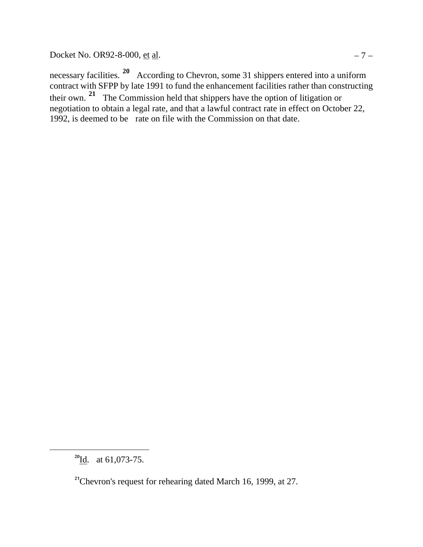Docket No. OR92-8-000, <u>et al</u>.  $-7 -$ 

necessary facilities. **[20](#page-10-0)** According to Chevron, some 31 shippers entered into a uniform contract with SFPP by late 1991 to fund the enhancement facilities rather than constructing their own. **[21](#page-10-1)** The Commission held that shippers have the option of litigation or negotiation to obtain a legal rate, and that a lawful contract rate in effect on October 22, 1992, is deemed to be rate on file with the Commission on that date.

<span id="page-10-0"></span>**<sup>20</sup>**Id. at 61,073-75.

<span id="page-10-1"></span><sup>&</sup>lt;sup>21</sup>Chevron's request for rehearing dated March 16, 1999, at 27.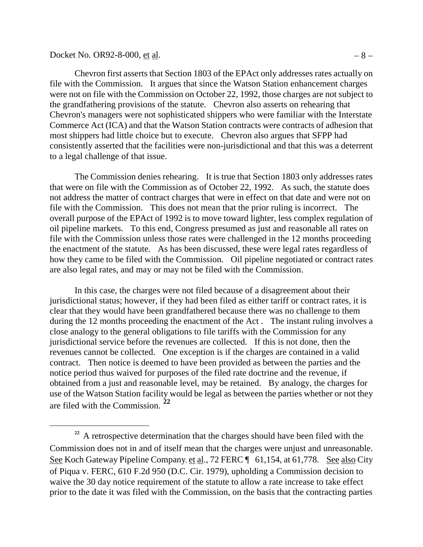#### Docket No. OR92-8-000, <u>et al</u>.  $-8 -$

 $\overline{a}$ 

Chevron first asserts that Section 1803 of the EPAct only addresses rates actually on file with the Commission. It argues that since the Watson Station enhancement charges were not on file with the Commission on October 22, 1992, those charges are not subject to the grandfathering provisions of the statute. Chevron also asserts on rehearing that Chevron's managers were not sophisticated shippers who were familiar with the Interstate Commerce Act (ICA) and that the Watson Station contracts were contracts of adhesion that most shippers had little choice but to execute. Chevron also argues that SFPP had consistently asserted that the facilities were non-jurisdictional and that this was a deterrent to a legal challenge of that issue.

The Commission denies rehearing. It is true that Section 1803 only addresses rates that were on file with the Commission as of October 22, 1992. As such, the statute does not address the matter of contract charges that were in effect on that date and were not on file with the Commission. This does not mean that the prior ruling is incorrect. The overall purpose of the EPAct of 1992 is to move toward lighter, less complex regulation of oil pipeline markets. To this end, Congress presumed as just and reasonable all rates on file with the Commission unless those rates were challenged in the 12 months proceeding the enactment of the statute. As has been discussed, these were legal rates regardless of how they came to be filed with the Commission. Oil pipeline negotiated or contract rates are also legal rates, and may or may not be filed with the Commission.

In this case, the charges were not filed because of a disagreement about their jurisdictional status; however, if they had been filed as either tariff or contract rates, it is clear that they would have been grandfathered because there was no challenge to them during the 12 months proceeding the enactment of the Act . The instant ruling involves a close analogy to the general obligations to file tariffs with the Commission for any jurisdictional service before the revenues are collected. If this is not done, then the revenues cannot be collected. One exception is if the charges are contained in a valid contract. Then notice is deemed to have been provided as between the parties and the notice period thus waived for purposes of the filed rate doctrine and the revenue, if obtained from a just and reasonable level, may be retained. By analogy, the charges for use of the Watson Station facility would be legal as between the parties whether or not they are filed with the Commission. **[22](#page-11-0)**

<span id="page-11-0"></span><sup>&</sup>lt;sup>22</sup> A retrospective determination that the charges should have been filed with the Commission does not in and of itself mean that the charges were unjust and unreasonable. See Koch Gateway Pipeline Company, et al., 72 FERC  $\P$  61, 154, at 61, 778. See also City of Piqua v. FERC, 610 F.2d 950 (D.C. Cir. 1979), upholding a Commission decision to waive the 30 day notice requirement of the statute to allow a rate increase to take effect prior to the date it was filed with the Commission, on the basis that the contracting parties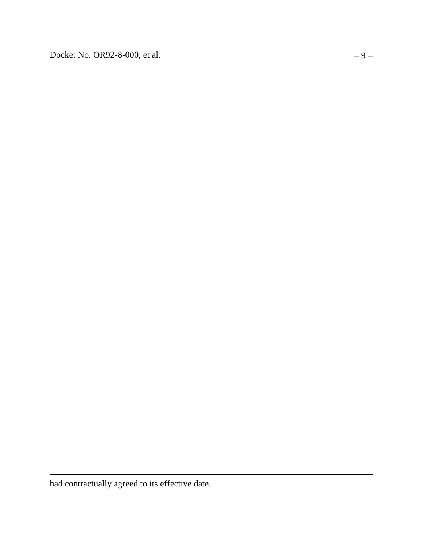Docket No. OR92-8-000, <u>et al</u>.  $-9 -$ 

had contractually agreed to its effective date.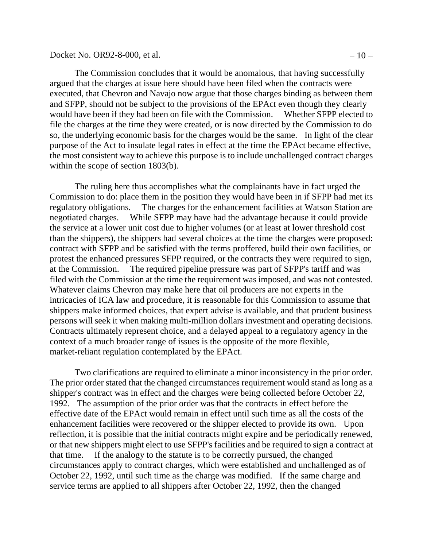Docket No. OR92-8-000, <u>et al</u>.  $-10 -$ 

within the scope of section 1803(b).

The Commission concludes that it would be anomalous, that having successfully argued that the charges at issue here should have been filed when the contracts were executed, that Chevron and Navajo now argue that those charges binding as between them and SFPP, should not be subject to the provisions of the EPAct even though they clearly would have been if they had been on file with the Commission. Whether SFPP elected to file the charges at the time they were created, or is now directed by the Commission to do so, the underlying economic basis for the charges would be the same. In light of the clear purpose of the Act to insulate legal rates in effect at the time the EPAct became effective,

The ruling here thus accomplishes what the complainants have in fact urged the Commission to do: place them in the position they would have been in if SFPP had met its regulatory obligations. The charges for the enhancement facilities at Watson Station are negotiated charges. While SFPP may have had the advantage because it could provide the service at a lower unit cost due to higher volumes (or at least at lower threshold cost than the shippers), the shippers had several choices at the time the charges were proposed: contract with SFPP and be satisfied with the terms proffered, build their own facilities, or protest the enhanced pressures SFPP required, or the contracts they were required to sign, at the Commission. The required pipeline pressure was part of SFPP's tariff and was filed with the Commission at the time the requirement was imposed, and was not contested. Whatever claims Chevron may make here that oil producers are not experts in the intricacies of ICA law and procedure, it is reasonable for this Commission to assume that shippers make informed choices, that expert advise is available, and that prudent business persons will seek it when making multi-million dollars investment and operating decisions. Contracts ultimately represent choice, and a delayed appeal to a regulatory agency in the context of a much broader range of issues is the opposite of the more flexible, market-reliant regulation contemplated by the EPAct.

the most consistent way to achieve this purpose is to include unchallenged contract charges

Two clarifications are required to eliminate a minor inconsistency in the prior order. The prior order stated that the changed circumstances requirement would stand as long as a shipper's contract was in effect and the charges were being collected before October 22, 1992. The assumption of the prior order was that the contracts in effect before the effective date of the EPAct would remain in effect until such time as all the costs of the enhancement facilities were recovered or the shipper elected to provide its own. Upon reflection, it is possible that the initial contracts might expire and be periodically renewed, or that new shippers might elect to use SFPP's facilities and be required to sign a contract at that time. If the analogy to the statute is to be correctly pursued, the changed circumstances apply to contract charges, which were established and unchallenged as of October 22, 1992, until such time as the charge was modified. If the same charge and service terms are applied to all shippers after October 22, 1992, then the changed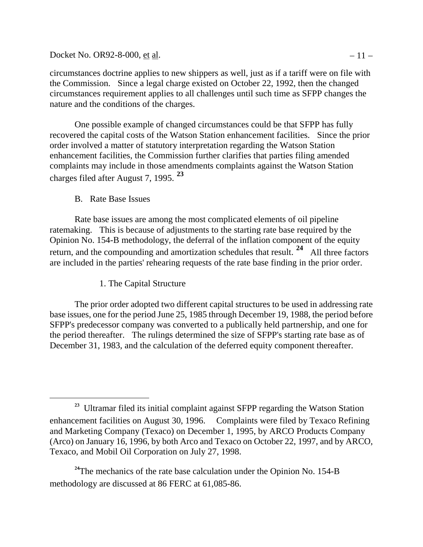Docket No. OR92-8-000, et al.  $-11 -$ 

circumstances doctrine applies to new shippers as well, just as if a tariff were on file with the Commission. Since a legal charge existed on October 22, 1992, then the changed circumstances requirement applies to all challenges until such time as SFPP changes the nature and the conditions of the charges.

One possible example of changed circumstances could be that SFPP has fully recovered the capital costs of the Watson Station enhancement facilities. Since the prior order involved a matter of statutory interpretation regarding the Watson Station enhancement facilities, the Commission further clarifies that parties filing amended complaints may include in those amendments complaints against the Watson Station charges filed after August 7, 1995. **[23](#page-14-0)**

B. Rate Base Issues

 $\overline{a}$ 

Rate base issues are among the most complicated elements of oil pipeline ratemaking. This is because of adjustments to the starting rate base required by the Opinion No. 154-B methodology, the deferral of the inflation component of the equity return, and the compounding and amortization schedules that result. **[24](#page-14-1)** All three factors are included in the parties' rehearing requests of the rate base finding in the prior order.

1. The Capital Structure

The prior order adopted two different capital structures to be used in addressing rate base issues, one for the period June 25, 1985 through December 19, 1988, the period before SFPP's predecessor company was converted to a publically held partnership, and one for the period thereafter. The rulings determined the size of SFPP's starting rate base as of December 31, 1983, and the calculation of the deferred equity component thereafter.

<span id="page-14-0"></span><sup>&</sup>lt;sup>23</sup> Ultramar filed its initial complaint against SFPP regarding the Watson Station enhancement facilities on August 30, 1996. Complaints were filed by Texaco Refining and Marketing Company (Texaco) on December 1, 1995, by ARCO Products Company (Arco) on January 16, 1996, by both Arco and Texaco on October 22, 1997, and by ARCO, Texaco, and Mobil Oil Corporation on July 27, 1998.

<span id="page-14-1"></span><sup>&</sup>lt;sup>24</sup>The mechanics of the rate base calculation under the Opinion No. 154-B methodology are discussed at 86 FERC at 61,085-86.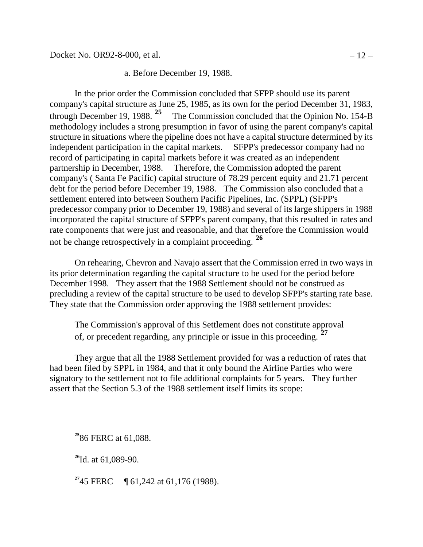### a. Before December 19, 1988.

In the prior order the Commission concluded that SFPP should use its parent company's capital structure as June 25, 1985, as its own for the period December 31, 1983, through December 19, 1988. **[25](#page-15-0)** The Commission concluded that the Opinion No. 154-B methodology includes a strong presumption in favor of using the parent company's capital structure in situations where the pipeline does not have a capital structure determined by its independent participation in the capital markets. SFPP's predecessor company had no record of participating in capital markets before it was created as an independent partnership in December, 1988. Therefore, the Commission adopted the parent company's ( Santa Fe Pacific) capital structure of 78.29 percent equity and 21.71 percent debt for the period before December 19, 1988. The Commission also concluded that a settlement entered into between Southern Pacific Pipelines, Inc. (SPPL) (SFPP's predecessor company prior to December 19, 1988) and several of its large shippers in 1988 incorporated the capital structure of SFPP's parent company, that this resulted in rates and rate components that were just and reasonable, and that therefore the Commission would not be change retrospectively in a complaint proceeding. **[26](#page-15-1)**

On rehearing, Chevron and Navajo assert that the Commission erred in two ways in its prior determination regarding the capital structure to be used for the period before December 1998. They assert that the 1988 Settlement should not be construed as precluding a review of the capital structure to be used to develop SFPP's starting rate base. They state that the Commission order approving the 1988 settlement provides:

The Commission's approval of this Settlement does not constitute approval of, or precedent regarding, any principle or issue in this proceeding. **[27](#page-15-2)**

They argue that all the 1988 Settlement provided for was a reduction of rates that had been filed by SPPL in 1984, and that it only bound the Airline Parties who were signatory to the settlement not to file additional complaints for 5 years. They further assert that the Section 5.3 of the 1988 settlement itself limits its scope:

**<sup>26</sup>**Id. at 61,089-90.

<span id="page-15-2"></span><span id="page-15-1"></span><span id="page-15-0"></span> $\overline{a}$ 

<sup>27</sup>45 FERC **[61,242 at 61,176 (1988).** 

**<sup>25</sup>**86 FERC at 61,088.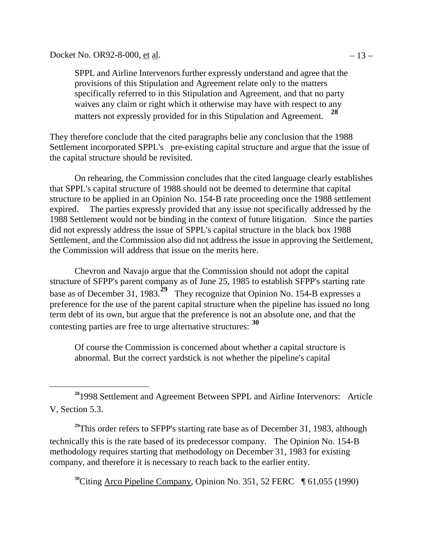Docket No. OR92-8-000, <u>et al</u>.  $-13 -$ 

 $\overline{a}$ 

SPPL and Airline Intervenors further expressly understand and agree that the provisions of this Stipulation and Agreement relate only to the matters specifically referred to in this Stipulation and Agreement, and that no party waives any claim or right which it otherwise may have with respect to any matters not expressly provided for in this Stipulation and Agreement. **[28](#page-16-0)**

They therefore conclude that the cited paragraphs belie any conclusion that the 1988 Settlement incorporated SPPL's pre-existing capital structure and argue that the issue of the capital structure should be revisited.

On rehearing, the Commission concludes that the cited language clearly establishes that SPPL's capital structure of 1988 should not be deemed to determine that capital structure to be applied in an Opinion No. 154-B rate proceeding once the 1988 settlement expired. The parties expressly provided that any issue not specifically addressed by the 1988 Settlement would not be binding in the context of future litigation. Since the parties did not expressly address the issue of SPPL's capital structure in the black box 1988 Settlement, and the Commission also did not address the issue in approving the Settlement, the Commission will address that issue on the merits here.

Chevron and Navajo argue that the Commission should not adopt the capital structure of SFPP's parent company as of June 25, 1985 to establish SFPP's starting rate base as of December 31, 1983.<sup>[29](#page-16-1)</sup> They recognize that Opinion No. 154-B expresses a preference for the use of the parent capital structure when the pipeline has issued no long term debt of its own, but argue that the preference is not an absolute one, and that the contesting parties are free to urge alternative structures: **[30](#page-16-2)**

Of course the Commission is concerned about whether a capital structure is abnormal. But the correct yardstick is not whether the pipeline's capital

<span id="page-16-2"></span><span id="page-16-1"></span><sup>29</sup>This order refers to SFPP's starting rate base as of December 31, 1983, although technically this is the rate based of its predecessor company. The Opinion No. 154-B methodology requires starting that methodology on December 31, 1983 for existing company, and therefore it is necessary to reach back to the earlier entity.

<sup>30</sup>Citing Arco Pipeline Company, Opinion No. 351, 52 FERC  $\parallel$  61,055 (1990)

<span id="page-16-0"></span>**<sup>28</sup>**1998 Settlement and Agreement Between SPPL and Airline Intervenors: Article V, Section 5.3.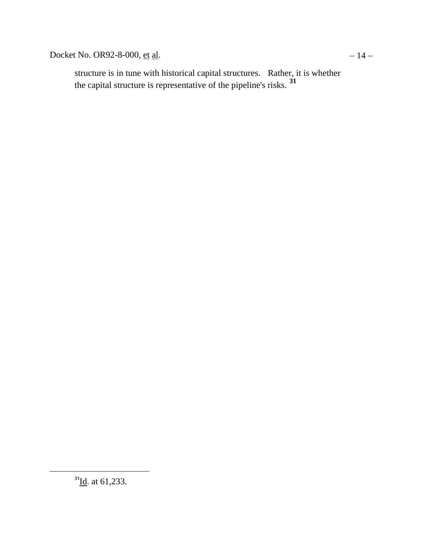Docket No. OR92-8-000, <u>et al</u>.  $-14 -$ 

<span id="page-17-0"></span>structure is in tune with historical capital structures. Rather, it is whether the capital structure is representative of the pipeline's risks. **[31](#page-17-0)**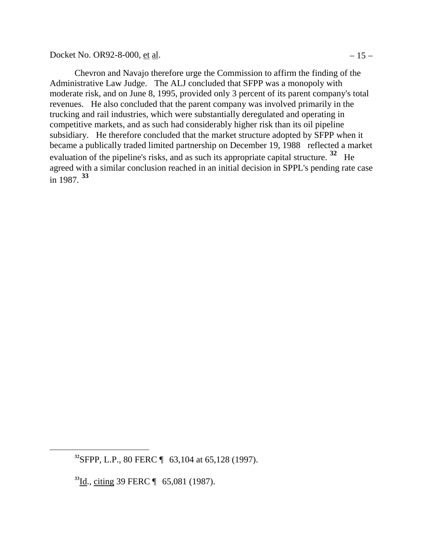Docket No. OR92-8-000, <u>et al</u>.  $-15 -$ 

Chevron and Navajo therefore urge the Commission to affirm the finding of the Administrative Law Judge. The ALJ concluded that SFPP was a monopoly with moderate risk, and on June 8, 1995, provided only 3 percent of its parent company's total revenues. He also concluded that the parent company was involved primarily in the trucking and rail industries, which were substantially deregulated and operating in competitive markets, and as such had considerably higher risk than its oil pipeline subsidiary. He therefore concluded that the market structure adopted by SFPP when it became a publically traded limited partnership on December 19, 1988 reflected a market evaluation of the pipeline's risks, and as such its appropriate capital structure. **[32](#page-18-0)** He agreed with a similar conclusion reached in an initial decision in SPPL's pending rate case in 1987. **[33](#page-18-1)**

<span id="page-18-0"></span>**<sup>32</sup>**SFPP, L.P., 80 FERC ¶ 63,104 at 65,128 (1997).

<span id="page-18-1"></span>**<sup>33</sup>**Id., citing 39 FERC ¶ 65,081 (1987).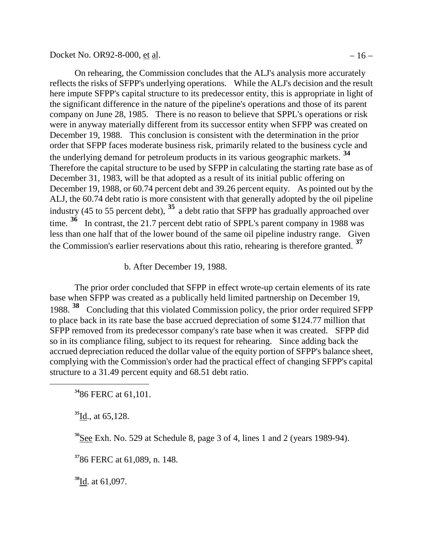Docket No. OR92-8-000, <u>et al</u>.  $-16 -$ 

On rehearing, the Commission concludes that the ALJ's analysis more accurately reflects the risks of SFPP's underlying operations. While the ALJ's decision and the result here impute SFPP's capital structure to its predecessor entity, this is appropriate in light of the significant difference in the nature of the pipeline's operations and those of its parent company on June 28, 1985. There is no reason to believe that SPPL's operations or risk were in anyway materially different from its successor entity when SFPP was created on December 19, 1988. This conclusion is consistent with the determination in the prior order that SFPP faces moderate business risk, primarily related to the business cycle and the underlying demand for petroleum products in its various geographic markets. **[34](#page-19-0)** Therefore the capital structure to be used by SFPP in calculating the starting rate base as of December 31, 1983, will be that adopted as a result of its initial public offering on December 19, 1988, or 60.74 percent debt and 39.26 percent equity. As pointed out by the ALJ, the 60.74 debt ratio is more consistent with that generally adopted by the oil pipeline industry (45 to 55 percent debt), **[35](#page-19-1)** a debt ratio that SFPP has gradually approached over time. <sup>[36](#page-19-2)</sup> In contrast, the 21.7 percent debt ratio of SPPL's parent company in 1988 was less than one half that of the lower bound of the same oil pipeline industry range. Given the Commission's earlier reservations about this ratio, rehearing is therefore granted. **[37](#page-19-3)**

b. After December 19, 1988.

The prior order concluded that SFPP in effect wrote-up certain elements of its rate base when SFPP was created as a publically held limited partnership on December 19, 1988. **[38](#page-19-4)** Concluding that this violated Commission policy, the prior order required SFPP to place back in its rate base the base accrued depreciation of some \$124.77 million that SFPP removed from its predecessor company's rate base when it was created. SFPP did so in its compliance filing, subject to its request for rehearing. Since adding back the accrued depreciation reduced the dollar value of the equity portion of SFPP's balance sheet, complying with the Commission's order had the practical effect of changing SFPP's capital structure to a 31.49 percent equity and 68.51 debt ratio.

**<sup>34</sup>**86 FERC at 61,101.

**<sup>35</sup>**Id., at 65,128.

<span id="page-19-2"></span><span id="page-19-1"></span><span id="page-19-0"></span> $\overline{a}$ 

**<sup>36</sup>**See Exh. No. 529 at Schedule 8, page 3 of 4, lines 1 and 2 (years 1989-94).

<span id="page-19-3"></span>**<sup>37</sup>**86 FERC at 61,089, n. 148.

<span id="page-19-4"></span>**<sup>38</sup>**Id. at 61,097.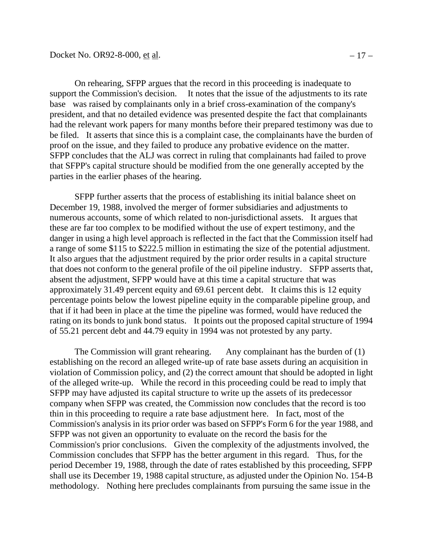On rehearing, SFPP argues that the record in this proceeding is inadequate to support the Commission's decision. It notes that the issue of the adjustments to its rate base was raised by complainants only in a brief cross-examination of the company's president, and that no detailed evidence was presented despite the fact that complainants had the relevant work papers for many months before their prepared testimony was due to be filed. It asserts that since this is a complaint case, the complainants have the burden of proof on the issue, and they failed to produce any probative evidence on the matter. SFPP concludes that the ALJ was correct in ruling that complainants had failed to prove that SFPP's capital structure should be modified from the one generally accepted by the parties in the earlier phases of the hearing.

SFPP further asserts that the process of establishing its initial balance sheet on December 19, 1988, involved the merger of former subsidiaries and adjustments to numerous accounts, some of which related to non-jurisdictional assets. It argues that these are far too complex to be modified without the use of expert testimony, and the danger in using a high level approach is reflected in the fact that the Commission itself had a range of some \$115 to \$222.5 million in estimating the size of the potential adjustment. It also argues that the adjustment required by the prior order results in a capital structure that does not conform to the general profile of the oil pipeline industry. SFPP asserts that, absent the adjustment, SFPP would have at this time a capital structure that was approximately 31.49 percent equity and 69.61 percent debt. It claims this is 12 equity percentage points below the lowest pipeline equity in the comparable pipeline group, and that if it had been in place at the time the pipeline was formed, would have reduced the rating on its bonds to junk bond status. It points out the proposed capital structure of 1994 of 55.21 percent debt and 44.79 equity in 1994 was not protested by any party.

The Commission will grant rehearing. Any complainant has the burden of (1) establishing on the record an alleged write-up of rate base assets during an acquisition in violation of Commission policy, and (2) the correct amount that should be adopted in light of the alleged write-up. While the record in this proceeding could be read to imply that SFPP may have adjusted its capital structure to write up the assets of its predecessor company when SFPP was created, the Commission now concludes that the record is too thin in this proceeding to require a rate base adjustment here. In fact, most of the Commission's analysis in its prior order was based on SFPP's Form 6 for the year 1988, and SFPP was not given an opportunity to evaluate on the record the basis for the Commission's prior conclusions. Given the complexity of the adjustments involved, the Commission concludes that SFPP has the better argument in this regard. Thus, for the period December 19, 1988, through the date of rates established by this proceeding, SFPP shall use its December 19, 1988 capital structure, as adjusted under the Opinion No. 154-B methodology. Nothing here precludes complainants from pursuing the same issue in the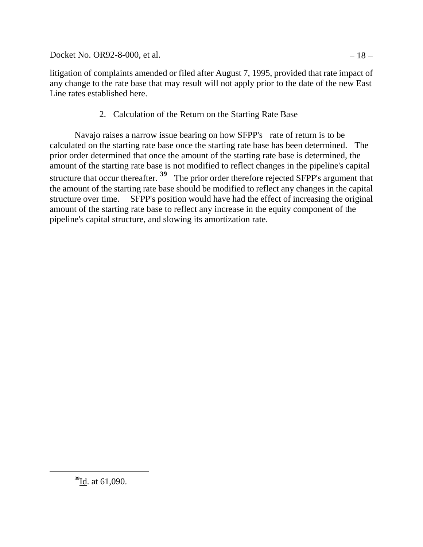Docket No. OR92-8-000, <u>et al</u>.  $-18 -$ 

litigation of complaints amended or filed after August 7, 1995, provided that rate impact of any change to the rate base that may result will not apply prior to the date of the new East Line rates established here.

2. Calculation of the Return on the Starting Rate Base

Navajo raises a narrow issue bearing on how SFPP's rate of return is to be calculated on the starting rate base once the starting rate base has been determined. The prior order determined that once the amount of the starting rate base is determined, the amount of the starting rate base is not modified to reflect changes in the pipeline's capital structure that occur thereafter. **[39](#page-21-0)** The prior order therefore rejected SFPP's argument that the amount of the starting rate base should be modified to reflect any changes in the capital structure over time. SFPP's position would have had the effect of increasing the original amount of the starting rate base to reflect any increase in the equity component of the pipeline's capital structure, and slowing its amortization rate.

<span id="page-21-0"></span>**<sup>39</sup>**Id. at 61,090.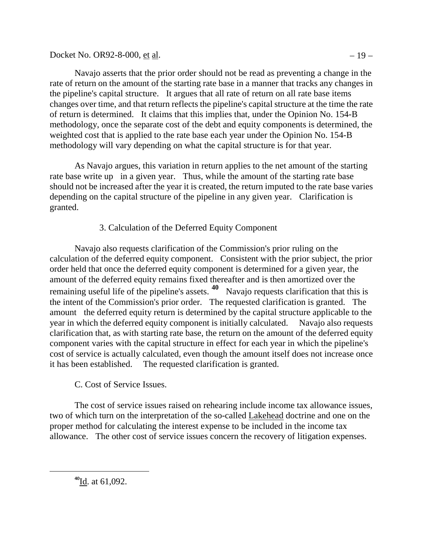Docket No. OR92-8-000, <u>et al</u>.  $-19 -$ 

Navajo asserts that the prior order should not be read as preventing a change in the rate of return on the amount of the starting rate base in a manner that tracks any changes in the pipeline's capital structure. It argues that all rate of return on all rate base items changes over time, and that return reflects the pipeline's capital structure at the time the rate of return is determined. It claims that this implies that, under the Opinion No. 154-B methodology, once the separate cost of the debt and equity components is determined, the weighted cost that is applied to the rate base each year under the Opinion No. 154-B methodology will vary depending on what the capital structure is for that year.

As Navajo argues, this variation in return applies to the net amount of the starting rate base write up in a given year. Thus, while the amount of the starting rate base should not be increased after the year it is created, the return imputed to the rate base varies depending on the capital structure of the pipeline in any given year. Clarification is granted.

# 3. Calculation of the Deferred Equity Component

Navajo also requests clarification of the Commission's prior ruling on the calculation of the deferred equity component. Consistent with the prior subject, the prior order held that once the deferred equity component is determined for a given year, the amount of the deferred equity remains fixed thereafter and is then amortized over the remaining useful life of the pipeline's assets. **[40](#page-22-0)** Navajo requests clarification that this is the intent of the Commission's prior order. The requested clarification is granted. The amount the deferred equity return is determined by the capital structure applicable to the year in which the deferred equity component is initially calculated. Navajo also requests clarification that, as with starting rate base, the return on the amount of the deferred equity component varies with the capital structure in effect for each year in which the pipeline's cost of service is actually calculated, even though the amount itself does not increase once it has been established. The requested clarification is granted.

# C. Cost of Service Issues.

The cost of service issues raised on rehearing include income tax allowance issues, two of which turn on the interpretation of the so-called Lakehead doctrine and one on the proper method for calculating the interest expense to be included in the income tax allowance. The other cost of service issues concern the recovery of litigation expenses.

<span id="page-22-0"></span>**<sup>40</sup>**Id. at 61,092.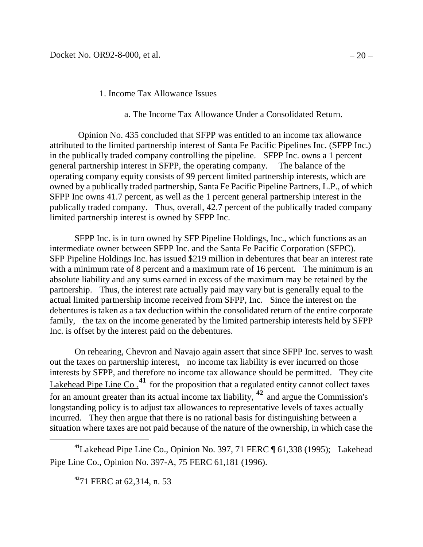### 1. Income Tax Allowance Issues

#### a. The Income Tax Allowance Under a Consolidated Return.

Opinion No. 435 concluded that SFPP was entitled to an income tax allowance attributed to the limited partnership interest of Santa Fe Pacific Pipelines Inc. (SFPP Inc.) in the publically traded company controlling the pipeline. SFPP Inc. owns a 1 percent general partnership interest in SFPP, the operating company. The balance of the operating company equity consists of 99 percent limited partnership interests, which are owned by a publically traded partnership, Santa Fe Pacific Pipeline Partners, L.P., of which SFPP Inc owns 41.7 percent, as well as the 1 percent general partnership interest in the publically traded company. Thus, overall, 42.7 percent of the publically traded company limited partnership interest is owned by SFPP Inc.

SFPP Inc. is in turn owned by SFP Pipeline Holdings, Inc., which functions as an intermediate owner between SFPP Inc. and the Santa Fe Pacific Corporation (SFPC). SFP Pipeline Holdings Inc. has issued \$219 million in debentures that bear an interest rate with a minimum rate of 8 percent and a maximum rate of 16 percent. The minimum is an absolute liability and any sums earned in excess of the maximum may be retained by the partnership. Thus, the interest rate actually paid may vary but is generally equal to the actual limited partnership income received from SFPP, Inc. Since the interest on the debentures is taken as a tax deduction within the consolidated return of the entire corporate family, the tax on the income generated by the limited partnership interests held by SFPP Inc. is offset by the interest paid on the debentures.

On rehearing, Chevron and Navajo again assert that since SFPP Inc. serves to wash out the taxes on partnership interest, no income tax liability is ever incurred on those interests by SFPP, and therefore no income tax allowance should be permitted. They cite Lakehead Pipe Line Co.<sup>[41](#page-23-0)</sup> for the proposition that a regulated entity cannot collect taxes for an amount greater than its actual income tax liability, **[42](#page-23-1)** and argue the Commission's longstanding policy is to adjust tax allowances to representative levels of taxes actually incurred. They then argue that there is no rational basis for distinguishing between a situation where taxes are not paid because of the nature of the ownership, in which case the

<span id="page-23-1"></span><span id="page-23-0"></span>**<sup>41</sup>**Lakehead Pipe Line Co., Opinion No. 397, 71 FERC ¶ 61,338 (1995); Lakehead Pipe Line Co., Opinion No. 397-A, 75 FERC 61,181 (1996).

**<sup>42</sup>**71 FERC at 62,314, n. 53.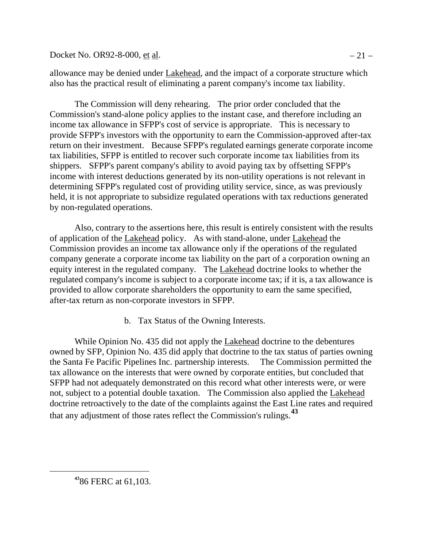Docket No. OR92-8-000, et al.  $-21 -$ 

allowance may be denied under Lakehead, and the impact of a corporate structure which also has the practical result of eliminating a parent company's income tax liability.

The Commission will deny rehearing. The prior order concluded that the Commission's stand-alone policy applies to the instant case, and therefore including an income tax allowance in SFPP's cost of service is appropriate. This is necessary to provide SFPP's investors with the opportunity to earn the Commission-approved after-tax return on their investment. Because SFPP's regulated earnings generate corporate income tax liabilities, SFPP is entitled to recover such corporate income tax liabilities from its shippers. SFPP's parent company's ability to avoid paying tax by offsetting SFPP's income with interest deductions generated by its non-utility operations is not relevant in determining SFPP's regulated cost of providing utility service, since, as was previously held, it is not appropriate to subsidize regulated operations with tax reductions generated by non-regulated operations.

Also, contrary to the assertions here, this result is entirely consistent with the results of application of the Lakehead policy. As with stand-alone, under Lakehead the Commission provides an income tax allowance only if the operations of the regulated company generate a corporate income tax liability on the part of a corporation owning an equity interest in the regulated company. The Lakehead doctrine looks to whether the regulated company's income is subject to a corporate income tax; if it is, a tax allowance is provided to allow corporate shareholders the opportunity to earn the same specified, after-tax return as non-corporate investors in SFPP.

b. Tax Status of the Owning Interests.

While Opinion No. 435 did not apply the Lakehead doctrine to the debentures owned by SFP, Opinion No. 435 did apply that doctrine to the tax status of parties owning the Santa Fe Pacific Pipelines Inc. partnership interests. The Commission permitted the tax allowance on the interests that were owned by corporate entities, but concluded that SFPP had not adequately demonstrated on this record what other interests were, or were not, subject to a potential double taxation. The Commission also applied the Lakehead doctrine retroactively to the date of the complaints against the East Line rates and required that any adjustment of those rates reflect the Commission's rulings.**[43](#page-24-0)**

<span id="page-24-0"></span>**<sup>43</sup>**86 FERC at 61,103.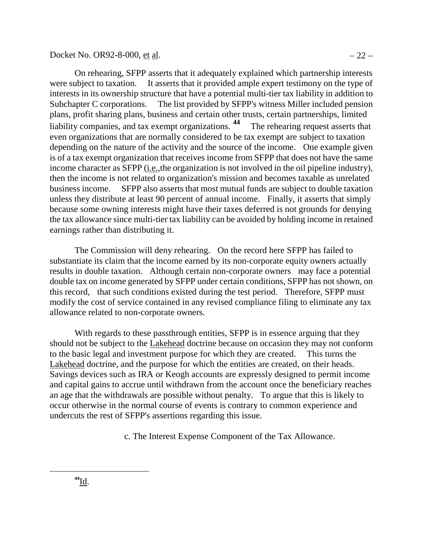Docket No. OR92-8-000, et al.  $-22 -$ 

On rehearing, SFPP asserts that it adequately explained which partnership interests were subject to taxation. It asserts that it provided ample expert testimony on the type of interests in its ownership structure that have a potential multi-tier tax liability in addition to Subchapter C corporations. The list provided by SFPP's witness Miller included pension plans, profit sharing plans, business and certain other trusts, certain partnerships, limited liability companies, and tax exempt organizations.<sup>[44](#page-25-0)</sup> The rehearing request asserts that even organizations that are normally considered to be tax exempt are subject to taxation depending on the nature of the activity and the source of the income. One example given is of a tax exempt organization that receives income from SFPP that does not have the same income character as SFPP (i.e.,the organization is not involved in the oil pipeline industry), then the income is not related to organization's mission and becomes taxable as unrelated business income. SFPP also asserts that most mutual funds are subject to double taxation unless they distribute at least 90 percent of annual income. Finally, it asserts that simply

because some owning interests might have their taxes deferred is not grounds for denying the tax allowance since multi-tier tax liability can be avoided by holding income in retained earnings rather than distributing it.

The Commission will deny rehearing. On the record here SFPP has failed to substantiate its claim that the income earned by its non-corporate equity owners actually results in double taxation. Although certain non-corporate owners may face a potential double tax on income generated by SFPP under certain conditions, SFPP has not shown, on this record, that such conditions existed during the test period. Therefore, SFPP must modify the cost of service contained in any revised compliance filing to eliminate any tax allowance related to non-corporate owners.

With regards to these passthrough entities, SFPP is in essence arguing that they should not be subject to the Lakehead doctrine because on occasion they may not conform to the basic legal and investment purpose for which they are created. This turns the Lakehead doctrine, and the purpose for which the entities are created, on their heads. Savings devices such as IRA or Keogh accounts are expressly designed to permit income and capital gains to accrue until withdrawn from the account once the beneficiary reaches an age that the withdrawals are possible without penalty. To argue that this is likely to occur otherwise in the normal course of events is contrary to common experience and undercuts the rest of SFPP's assertions regarding this issue.

<span id="page-25-0"></span>c. The Interest Expense Component of the Tax Allowance.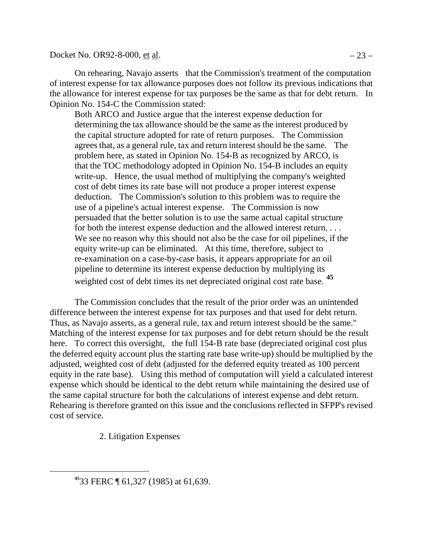Docket No. OR92-8-000, <u>et al</u>.  $-23 -$ 

On rehearing, Navajo asserts that the Commission's treatment of the computation of interest expense for tax allowance purposes does not follow its previous indications that the allowance for interest expense for tax purposes be the same as that for debt return. In Opinion No. 154-C the Commission stated:

Both ARCO and Justice argue that the interest expense deduction for determining the tax allowance should be the same as the interest produced by the capital structure adopted for rate of return purposes. The Commission agrees that, as a general rule, tax and return interest should be the same. The problem here, as stated in Opinion No. 154-B as recognized by ARCO, is that the TOC methodology adopted in Opinion No. 154-B includes an equity write-up. Hence, the usual method of multiplying the company's weighted cost of debt times its rate base will not produce a proper interest expense deduction. The Commission's solution to this problem was to require the use of a pipeline's actual interest expense. The Commission is now persuaded that the better solution is to use the same actual capital structure for both the interest expense deduction and the allowed interest return. . . . We see no reason why this should not also be the case for oil pipelines, if the equity write-up can be eliminated. At this time, therefore, subject to re-examination on a case-by-case basis, it appears appropriate for an oil pipeline to determine its interest expense deduction by multiplying its weighted cost of debt times its net depreciated original cost rate base. **[45](#page-26-0)**

The Commission concludes that the result of the prior order was an unintended difference between the interest expense for tax purposes and that used for debt return. Thus, as Navajo asserts, as a general rule, tax and return interest should be the same." Matching of the interest expense for tax purposes and for debt return should be the result here. To correct this oversight, the full 154-B rate base (depreciated original cost plus the deferred equity account plus the starting rate base write-up) should be multiplied by the adjusted, weighted cost of debt (adjusted for the deferred equity treated as 100 percent equity in the rate base). Using this method of computation will yield a calculated interest expense which should be identical to the debt return while maintaining the desired use of the same capital structure for both the calculations of interest expense and debt return. Rehearing is therefore granted on this issue and the conclusions reflected in SFPP's revised cost of service.

2. Litigation Expenses

<span id="page-26-0"></span>**<sup>45</sup>**33 FERC ¶ 61,327 (1985) at 61,639.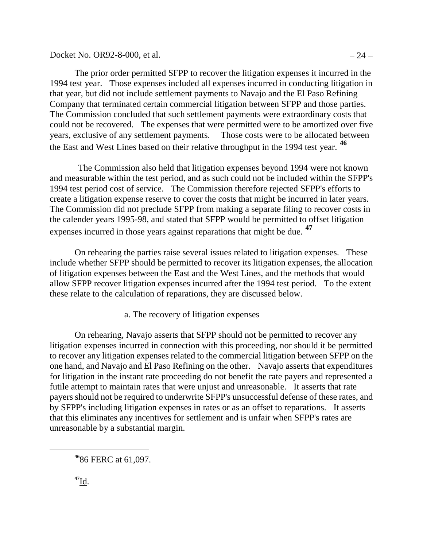Docket No. OR92-8-000, <u>et al</u>.  $-24 -$ 

The prior order permitted SFPP to recover the litigation expenses it incurred in the 1994 test year. Those expenses included all expenses incurred in conducting litigation in that year, but did not include settlement payments to Navajo and the El Paso Refining Company that terminated certain commercial litigation between SFPP and those parties. The Commission concluded that such settlement payments were extraordinary costs that could not be recovered. The expenses that were permitted were to be amortized over five years, exclusive of any settlement payments. Those costs were to be allocated between the East and West Lines based on their relative throughput in the 1994 test year. **[46](#page-27-0)**

The Commission also held that litigation expenses beyond 1994 were not known and measurable within the test period, and as such could not be included within the SFPP's 1994 test period cost of service. The Commission therefore rejected SFPP's efforts to create a litigation expense reserve to cover the costs that might be incurred in later years. The Commission did not preclude SFPP from making a separate filing to recover costs in the calender years 1995-98, and stated that SFPP would be permitted to offset litigation expenses incurred in those years against reparations that might be due. **[47](#page-27-1)**

On rehearing the parties raise several issues related to litigation expenses. These include whether SFPP should be permitted to recover its litigation expenses, the allocation of litigation expenses between the East and the West Lines, and the methods that would allow SFPP recover litigation expenses incurred after the 1994 test period. To the extent these relate to the calculation of reparations, they are discussed below.

a. The recovery of litigation expenses

On rehearing, Navajo asserts that SFPP should not be permitted to recover any litigation expenses incurred in connection with this proceeding, nor should it be permitted to recover any litigation expenses related to the commercial litigation between SFPP on the one hand, and Navajo and El Paso Refining on the other. Navajo asserts that expenditures for litigation in the instant rate proceeding do not benefit the rate payers and represented a futile attempt to maintain rates that were unjust and unreasonable. It asserts that rate payers should not be required to underwrite SFPP's unsuccessful defense of these rates, and by SFPP's including litigation expenses in rates or as an offset to reparations. It asserts that this eliminates any incentives for settlement and is unfair when SFPP's rates are unreasonable by a substantial margin.

<span id="page-27-1"></span><span id="page-27-0"></span>**<sup>46</sup>**86 FERC at 61,097.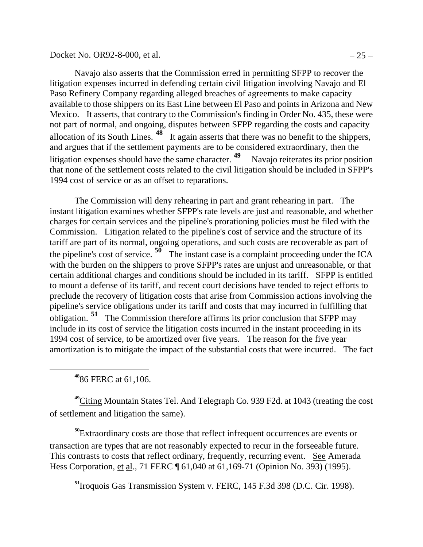Docket No. OR92-8-000, et al.  $-25 -$ 

Navajo also asserts that the Commission erred in permitting SFPP to recover the litigation expenses incurred in defending certain civil litigation involving Navajo and El Paso Refinery Company regarding alleged breaches of agreements to make capacity available to those shippers on its East Line between El Paso and points in Arizona and New Mexico. It asserts, that contrary to the Commission's finding in Order No. 435, these were not part of normal, and ongoing, disputes between SFPP regarding the costs and capacity allocation of its South Lines. **[48](#page-28-0)** It again asserts that there was no benefit to the shippers, and argues that if the settlement payments are to be considered extraordinary, then the litigation expenses should have the same character.<sup>[49](#page-28-1)</sup> Navajo reiterates its prior position that none of the settlement costs related to the civil litigation should be included in SFPP's 1994 cost of service or as an offset to reparations.

The Commission will deny rehearing in part and grant rehearing in part. The instant litigation examines whether SFPP's rate levels are just and reasonable, and whether charges for certain services and the pipeline's prorationing policies must be filed with the Commission. Litigation related to the pipeline's cost of service and the structure of its tariff are part of its normal, ongoing operations, and such costs are recoverable as part of the pipeline's cost of service. **[50](#page-28-2)** The instant case is a complaint proceeding under the ICA with the burden on the shippers to prove SFPP's rates are unjust and unreasonable, or that certain additional charges and conditions should be included in its tariff. SFPP is entitled to mount a defense of its tariff, and recent court decisions have tended to reject efforts to preclude the recovery of litigation costs that arise from Commission actions involving the pipeline's service obligations under its tariff and costs that may incurred in fulfilling that obligation. **[51](#page-28-3)** The Commission therefore affirms its prior conclusion that SFPP may include in its cost of service the litigation costs incurred in the instant proceeding in its 1994 cost of service, to be amortized over five years. The reason for the five year amortization is to mitigate the impact of the substantial costs that were incurred. The fact

**<sup>48</sup>**86 FERC at 61,106.

<span id="page-28-0"></span> $\overline{a}$ 

<span id="page-28-1"></span>**<sup>49</sup>**Citing Mountain States Tel. And Telegraph Co. 939 F2d. at 1043 (treating the cost of settlement and litigation the same).

<span id="page-28-3"></span><span id="page-28-2"></span>**<sup>50</sup>**Extraordinary costs are those that reflect infrequent occurrences are events or transaction are types that are not reasonably expected to recur in the forseeable future. This contrasts to costs that reflect ordinary, frequently, recurring event. See Amerada Hess Corporation, et al., 71 FERC ¶ 61,040 at 61,169-71 (Opinion No. 393) (1995).

**<sup>51</sup>**Iroquois Gas Transmission System v. FERC, 145 F.3d 398 (D.C. Cir. 1998).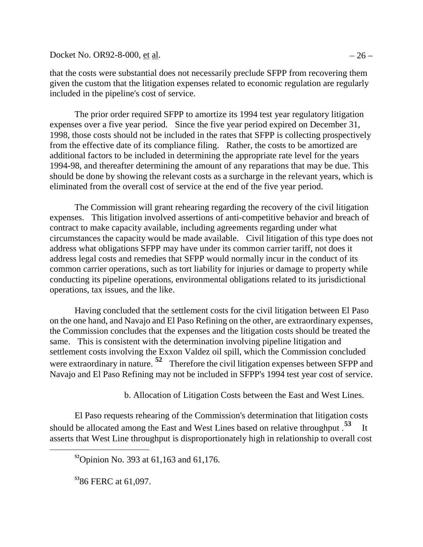Docket No. OR92-8-000, <u>et al</u>.  $-26 -$ 

that the costs were substantial does not necessarily preclude SFPP from recovering them given the custom that the litigation expenses related to economic regulation are regularly included in the pipeline's cost of service.

The prior order required SFPP to amortize its 1994 test year regulatory litigation expenses over a five year period. Since the five year period expired on December 31, 1998, those costs should not be included in the rates that SFPP is collecting prospectively from the effective date of its compliance filing. Rather, the costs to be amortized are additional factors to be included in determining the appropriate rate level for the years 1994-98, and thereafter determining the amount of any reparations that may be due. This should be done by showing the relevant costs as a surcharge in the relevant years, which is eliminated from the overall cost of service at the end of the five year period.

The Commission will grant rehearing regarding the recovery of the civil litigation expenses. This litigation involved assertions of anti-competitive behavior and breach of contract to make capacity available, including agreements regarding under what circumstances the capacity would be made available. Civil litigation of this type does not address what obligations SFPP may have under its common carrier tariff, not does it address legal costs and remedies that SFPP would normally incur in the conduct of its common carrier operations, such as tort liability for injuries or damage to property while conducting its pipeline operations, environmental obligations related to its jurisdictional operations, tax issues, and the like.

Having concluded that the settlement costs for the civil litigation between El Paso on the one hand, and Navajo and El Paso Refining on the other, are extraordinary expenses, the Commission concludes that the expenses and the litigation costs should be treated the same. This is consistent with the determination involving pipeline litigation and settlement costs involving the Exxon Valdez oil spill, which the Commission concluded were extraordinary in nature. <sup>[52](#page-29-0)</sup> Therefore the civil litigation expenses between SFPP and Navajo and El Paso Refining may not be included in SFPP's 1994 test year cost of service.

b. Allocation of Litigation Costs between the East and West Lines.

<span id="page-29-0"></span>El Paso requests rehearing of the Commission's determination that litigation costs should be allocated among the East and West Lines based on relative throughput .**[53](#page-29-1)** It asserts that West Line throughput is disproportionately high in relationship to overall cost

**<sup>52</sup>**Opinion No. 393 at 61,163 and 61,176.

<span id="page-29-1"></span>**<sup>53</sup>**86 FERC at 61,097.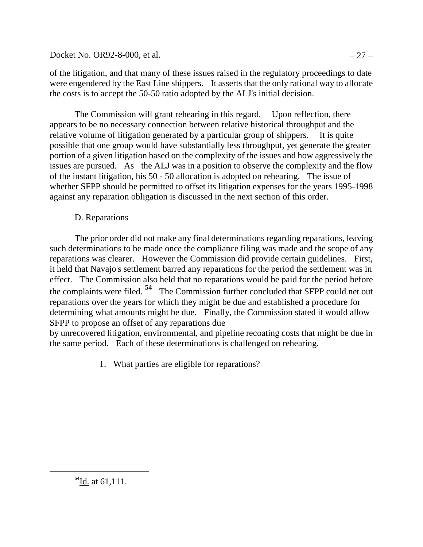Docket No. OR92-8-000, et al.  $-27 -$ 

of the litigation, and that many of these issues raised in the regulatory proceedings to date were engendered by the East Line shippers. It asserts that the only rational way to allocate the costs is to accept the 50-50 ratio adopted by the ALJ's initial decision.

The Commission will grant rehearing in this regard. Upon reflection, there appears to be no necessary connection between relative historical throughput and the relative volume of litigation generated by a particular group of shippers. It is quite possible that one group would have substantially less throughput, yet generate the greater portion of a given litigation based on the complexity of the issues and how aggressively the issues are pursued. As the ALJ was in a position to observe the complexity and the flow of the instant litigation, his 50 - 50 allocation is adopted on rehearing. The issue of whether SFPP should be permitted to offset its litigation expenses for the years 1995-1998 against any reparation obligation is discussed in the next section of this order.

# D. Reparations

The prior order did not make any final determinations regarding reparations, leaving such determinations to be made once the compliance filing was made and the scope of any reparations was clearer. However the Commission did provide certain guidelines. First, it held that Navajo's settlement barred any reparations for the period the settlement was in effect. The Commission also held that no reparations would be paid for the period before the complaints were filed. **[54](#page-30-0)** The Commission further concluded that SFPP could net out reparations over the years for which they might be due and established a procedure for determining what amounts might be due. Finally, the Commission stated it would allow SFPP to propose an offset of any reparations due

by unrecovered litigation, environmental, and pipeline recoating costs that might be due in the same period. Each of these determinations is challenged on rehearing.

1. What parties are eligible for reparations?

<span id="page-30-0"></span>**<sup>54</sup>**Id. at 61,111.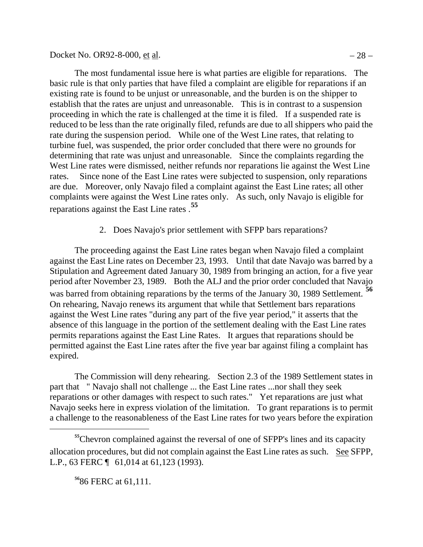Docket No. OR92-8-000, et al.  $-28 -$ 

The most fundamental issue here is what parties are eligible for reparations. The basic rule is that only parties that have filed a complaint are eligible for reparations if an existing rate is found to be unjust or unreasonable, and the burden is on the shipper to establish that the rates are unjust and unreasonable. This is in contrast to a suspension proceeding in which the rate is challenged at the time it is filed. If a suspended rate is reduced to be less than the rate originally filed, refunds are due to all shippers who paid the rate during the suspension period. While one of the West Line rates, that relating to turbine fuel, was suspended, the prior order concluded that there were no grounds for determining that rate was unjust and unreasonable. Since the complaints regarding the West Line rates were dismissed, neither refunds nor reparations lie against the West Line rates. Since none of the East Line rates were subjected to suspension, only reparations are due. Moreover, only Navajo filed a complaint against the East Line rates; all other complaints were against the West Line rates only. As such, only Navajo is eligible for reparations against the East Line rates .**[55](#page-31-0)**

2. Does Navajo's prior settlement with SFPP bars reparations?

The proceeding against the East Line rates began when Navajo filed a complaint against the East Line rates on December 23, 1993. Until that date Navajo was barred by a Stipulation and Agreement dated January 30, 1989 from bringing an action, for a five year period after November 23, 1989. Both the ALJ and the prior order concluded that Navajo was barred from obtaining reparations by the terms of the January 30, 1989 Settlement. **[56](#page-31-1)** On rehearing, Navajo renews its argument that while that Settlement bars reparations against the West Line rates "during any part of the five year period," it asserts that the absence of this language in the portion of the settlement dealing with the East Line rates permits reparations against the East Line Rates. It argues that reparations should be permitted against the East Line rates after the five year bar against filing a complaint has expired.

The Commission will deny rehearing. Section 2.3 of the 1989 Settlement states in part that " Navajo shall not challenge ... the East Line rates ...nor shall they seek reparations or other damages with respect to such rates." Yet reparations are just what Navajo seeks here in express violation of the limitation. To grant reparations is to permit a challenge to the reasonableness of the East Line rates for two years before the expiration

<span id="page-31-1"></span><span id="page-31-0"></span><sup>55</sup>Chevron complained against the reversal of one of SFPP's lines and its capacity allocation procedures, but did not complain against the East Line rates as such. See SFPP, L.P., 63 FERC ¶ 61,014 at 61,123 (1993).

**<sup>56</sup>**86 FERC at 61,111.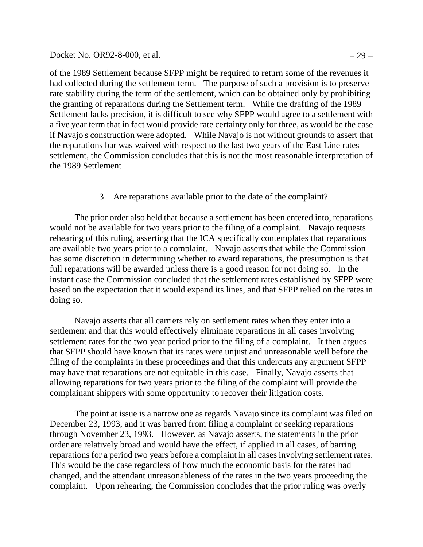#### Docket No. OR92-8-000, et al.  $-29 -$

of the 1989 Settlement because SFPP might be required to return some of the revenues it had collected during the settlement term. The purpose of such a provision is to preserve rate stability during the term of the settlement, which can be obtained only by prohibiting the granting of reparations during the Settlement term. While the drafting of the 1989 Settlement lacks precision, it is difficult to see why SFPP would agree to a settlement with a five year term that in fact would provide rate certainty only for three, as would be the case if Navajo's construction were adopted. While Navajo is not without grounds to assert that the reparations bar was waived with respect to the last two years of the East Line rates settlement, the Commission concludes that this is not the most reasonable interpretation of the 1989 Settlement

3. Are reparations available prior to the date of the complaint?

The prior order also held that because a settlement has been entered into, reparations would not be available for two years prior to the filing of a complaint. Navajo requests rehearing of this ruling, asserting that the ICA specifically contemplates that reparations are available two years prior to a complaint. Navajo asserts that while the Commission has some discretion in determining whether to award reparations, the presumption is that full reparations will be awarded unless there is a good reason for not doing so. In the instant case the Commission concluded that the settlement rates established by SFPP were based on the expectation that it would expand its lines, and that SFPP relied on the rates in doing so.

Navajo asserts that all carriers rely on settlement rates when they enter into a settlement and that this would effectively eliminate reparations in all cases involving settlement rates for the two year period prior to the filing of a complaint. It then argues that SFPP should have known that its rates were unjust and unreasonable well before the filing of the complaints in these proceedings and that this undercuts any argument SFPP may have that reparations are not equitable in this case. Finally, Navajo asserts that allowing reparations for two years prior to the filing of the complaint will provide the complainant shippers with some opportunity to recover their litigation costs.

The point at issue is a narrow one as regards Navajo since its complaint was filed on December 23, 1993, and it was barred from filing a complaint or seeking reparations through November 23, 1993. However, as Navajo asserts, the statements in the prior order are relatively broad and would have the effect, if applied in all cases, of barring reparations for a period two years before a complaint in all cases involving settlement rates. This would be the case regardless of how much the economic basis for the rates had changed, and the attendant unreasonableness of the rates in the two years proceeding the complaint. Upon rehearing, the Commission concludes that the prior ruling was overly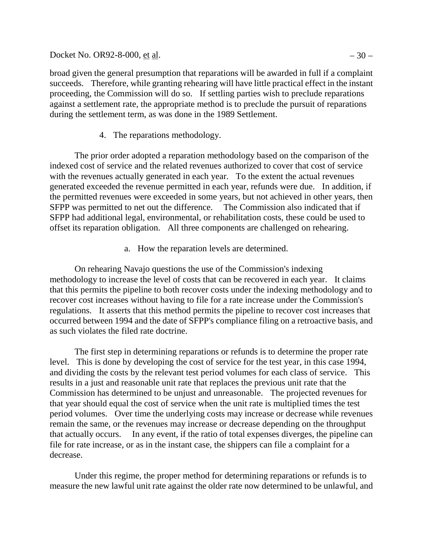Docket No. OR92-8-000, <u>et al</u>.  $-30 -$ 

broad given the general presumption that reparations will be awarded in full if a complaint succeeds. Therefore, while granting rehearing will have little practical effect in the instant proceeding, the Commission will do so. If settling parties wish to preclude reparations against a settlement rate, the appropriate method is to preclude the pursuit of reparations during the settlement term, as was done in the 1989 Settlement.

## 4. The reparations methodology.

The prior order adopted a reparation methodology based on the comparison of the indexed cost of service and the related revenues authorized to cover that cost of service with the revenues actually generated in each year. To the extent the actual revenues generated exceeded the revenue permitted in each year, refunds were due. In addition, if the permitted revenues were exceeded in some years, but not achieved in other years, then SFPP was permitted to net out the difference. The Commission also indicated that if SFPP had additional legal, environmental, or rehabilitation costs, these could be used to offset its reparation obligation. All three components are challenged on rehearing.

a. How the reparation levels are determined.

On rehearing Navajo questions the use of the Commission's indexing methodology to increase the level of costs that can be recovered in each year. It claims that this permits the pipeline to both recover costs under the indexing methodology and to recover cost increases without having to file for a rate increase under the Commission's regulations. It asserts that this method permits the pipeline to recover cost increases that occurred between 1994 and the date of SFPP's compliance filing on a retroactive basis, and as such violates the filed rate doctrine.

The first step in determining reparations or refunds is to determine the proper rate level. This is done by developing the cost of service for the test year, in this case 1994, and dividing the costs by the relevant test period volumes for each class of service. This results in a just and reasonable unit rate that replaces the previous unit rate that the Commission has determined to be unjust and unreasonable. The projected revenues for that year should equal the cost of service when the unit rate is multiplied times the test period volumes. Over time the underlying costs may increase or decrease while revenues remain the same, or the revenues may increase or decrease depending on the throughput that actually occurs. In any event, if the ratio of total expenses diverges, the pipeline can file for rate increase, or as in the instant case, the shippers can file a complaint for a decrease.

Under this regime, the proper method for determining reparations or refunds is to measure the new lawful unit rate against the older rate now determined to be unlawful, and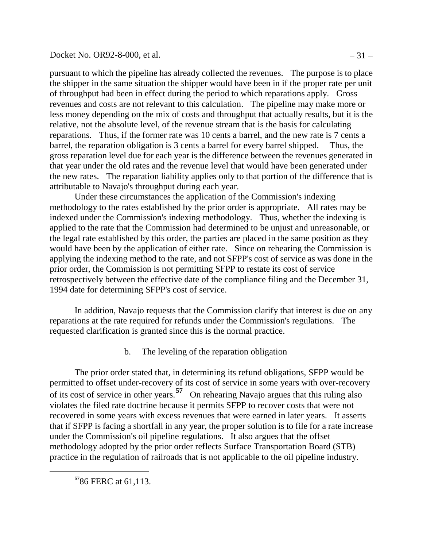### Docket No. OR92-8-000, <u>et al</u>.  $-31 -$

pursuant to which the pipeline has already collected the revenues. The purpose is to place the shipper in the same situation the shipper would have been in if the proper rate per unit of throughput had been in effect during the period to which reparations apply. Gross revenues and costs are not relevant to this calculation. The pipeline may make more or less money depending on the mix of costs and throughput that actually results, but it is the relative, not the absolute level, of the revenue stream that is the basis for calculating reparations. Thus, if the former rate was 10 cents a barrel, and the new rate is 7 cents a barrel, the reparation obligation is 3 cents a barrel for every barrel shipped. Thus, the gross reparation level due for each year is the difference between the revenues generated in that year under the old rates and the revenue level that would have been generated under the new rates. The reparation liability applies only to that portion of the difference that is attributable to Navajo's throughput during each year.

Under these circumstances the application of the Commission's indexing methodology to the rates established by the prior order is appropriate. All rates may be indexed under the Commission's indexing methodology. Thus, whether the indexing is applied to the rate that the Commission had determined to be unjust and unreasonable, or the legal rate established by this order, the parties are placed in the same position as they would have been by the application of either rate. Since on rehearing the Commission is applying the indexing method to the rate, and not SFPP's cost of service as was done in the prior order, the Commission is not permitting SFPP to restate its cost of service retrospectively between the effective date of the compliance filing and the December 31, 1994 date for determining SFPP's cost of service.

In addition, Navajo requests that the Commission clarify that interest is due on any reparations at the rate required for refunds under the Commission's regulations. The requested clarification is granted since this is the normal practice.

b. The leveling of the reparation obligation

The prior order stated that, in determining its refund obligations, SFPP would be permitted to offset under-recovery of its cost of service in some years with over-recovery of its cost of service in other years.**[57](#page-34-0)** On rehearing Navajo argues that this ruling also violates the filed rate doctrine because it permits SFPP to recover costs that were not recovered in some years with excess revenues that were earned in later years. It asserts that if SFPP is facing a shortfall in any year, the proper solution is to file for a rate increase under the Commission's oil pipeline regulations. It also argues that the offset methodology adopted by the prior order reflects Surface Transportation Board (STB) practice in the regulation of railroads that is not applicable to the oil pipeline industry.

<span id="page-34-0"></span>**<sup>57</sup>**86 FERC at 61,113.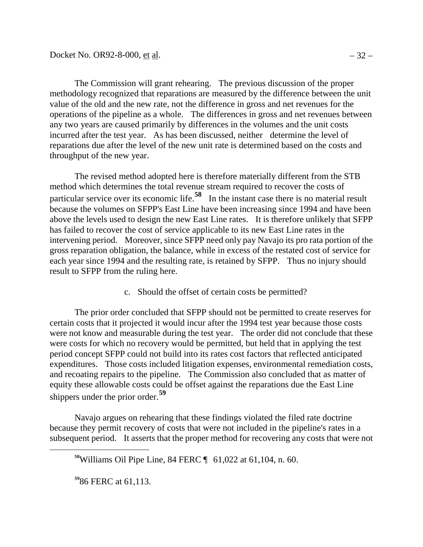The Commission will grant rehearing. The previous discussion of the proper methodology recognized that reparations are measured by the difference between the unit value of the old and the new rate, not the difference in gross and net revenues for the operations of the pipeline as a whole. The differences in gross and net revenues between any two years are caused primarily by differences in the volumes and the unit costs incurred after the test year. As has been discussed, neither determine the level of reparations due after the level of the new unit rate is determined based on the costs and throughput of the new year.

The revised method adopted here is therefore materially different from the STB method which determines the total revenue stream required to recover the costs of particular service over its economic life.**[58](#page-35-0)** In the instant case there is no material result because the volumes on SFPP's East Line have been increasing since 1994 and have been above the levels used to design the new East Line rates. It is therefore unlikely that SFPP has failed to recover the cost of service applicable to its new East Line rates in the intervening period. Moreover, since SFPP need only pay Navajo its pro rata portion of the gross reparation obligation, the balance, while in excess of the restated cost of service for each year since 1994 and the resulting rate, is retained by SFPP. Thus no injury should result to SFPP from the ruling here.

c. Should the offset of certain costs be permitted?

The prior order concluded that SFPP should not be permitted to create reserves for certain costs that it projected it would incur after the 1994 test year because those costs were not know and measurable during the test year. The order did not conclude that these were costs for which no recovery would be permitted, but held that in applying the test period concept SFPP could not build into its rates cost factors that reflected anticipated expenditures. Those costs included litigation expenses, environmental remediation costs, and recoating repairs to the pipeline. The Commission also concluded that as matter of equity these allowable costs could be offset against the reparations due the East Line shippers under the prior order.**[59](#page-35-1)**

<span id="page-35-0"></span>Navajo argues on rehearing that these findings violated the filed rate doctrine because they permit recovery of costs that were not included in the pipeline's rates in a subsequent period. It asserts that the proper method for recovering any costs that were not

<span id="page-35-1"></span>**<sup>59</sup>**86 FERC at 61,113.

**<sup>58</sup>**Williams Oil Pipe Line, 84 FERC ¶ 61,022 at 61,104, n. 60.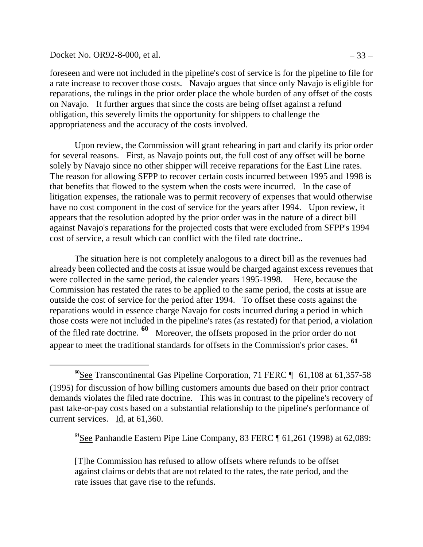#### Docket No. OR92-8-000, <u>et al</u>.  $-33 -$

 $\overline{a}$ 

foreseen and were not included in the pipeline's cost of service is for the pipeline to file for a rate increase to recover those costs. Navajo argues that since only Navajo is eligible for reparations, the rulings in the prior order place the whole burden of any offset of the costs on Navajo. It further argues that since the costs are being offset against a refund obligation, this severely limits the opportunity for shippers to challenge the appropriateness and the accuracy of the costs involved.

Upon review, the Commission will grant rehearing in part and clarify its prior order for several reasons. First, as Navajo points out, the full cost of any offset will be borne solely by Navajo since no other shipper will receive reparations for the East Line rates. The reason for allowing SFPP to recover certain costs incurred between 1995 and 1998 is that benefits that flowed to the system when the costs were incurred. In the case of litigation expenses, the rationale was to permit recovery of expenses that would otherwise have no cost component in the cost of service for the years after 1994. Upon review, it appears that the resolution adopted by the prior order was in the nature of a direct bill against Navajo's reparations for the projected costs that were excluded from SFPP's 1994 cost of service, a result which can conflict with the filed rate doctrine..

The situation here is not completely analogous to a direct bill as the revenues had already been collected and the costs at issue would be charged against excess revenues that were collected in the same period, the calender years 1995-1998. Here, because the Commission has restated the rates to be applied to the same period, the costs at issue are outside the cost of service for the period after 1994. To offset these costs against the reparations would in essence charge Navajo for costs incurred during a period in which those costs were not included in the pipeline's rates (as restated) for that period, a violation of the filed rate doctrine. **[60](#page-36-0)** Moreover, the offsets proposed in the prior order do not appear to meet the traditional standards for offsets in the Commission's prior cases. **[61](#page-36-1)**

<span id="page-36-1"></span>**<sup>61</sup>**See Panhandle Eastern Pipe Line Company, 83 FERC ¶ 61,261 (1998) at 62,089:

[T]he Commission has refused to allow offsets where refunds to be offset against claims or debts that are not related to the rates, the rate period, and the rate issues that gave rise to the refunds.

<span id="page-36-0"></span>**<sup>60</sup>**See Transcontinental Gas Pipeline Corporation, 71 FERC ¶ 61,108 at 61,357-58 (1995) for discussion of how billing customers amounts due based on their prior contract demands violates the filed rate doctrine. This was in contrast to the pipeline's recovery of past take-or-pay costs based on a substantial relationship to the pipeline's performance of current services. Id. at 61,360.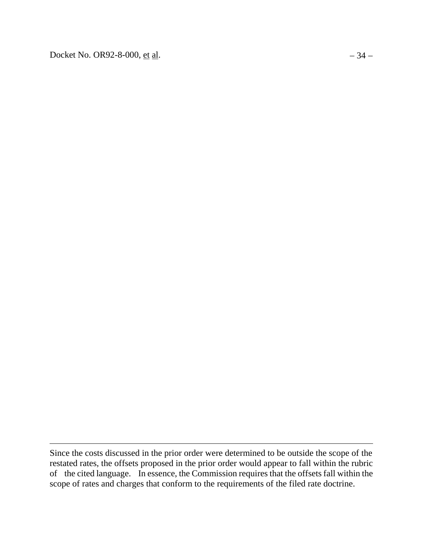Docket No. OR92-8-000, <u>et al</u>.  $-34 -$ 

 $\overline{a}$ 

Since the costs discussed in the prior order were determined to be outside the scope of the restated rates, the offsets proposed in the prior order would appear to fall within the rubric of the cited language. In essence, the Commission requires that the offsets fall within the scope of rates and charges that conform to the requirements of the filed rate doctrine.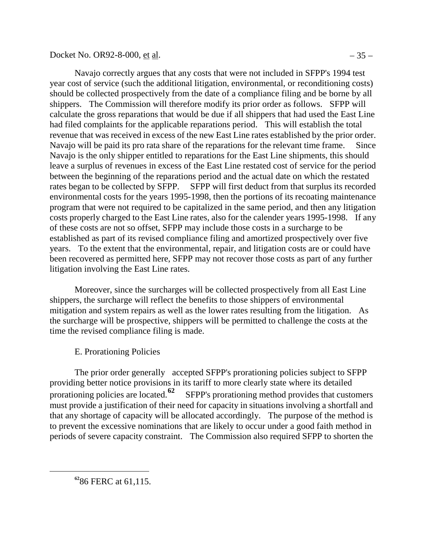Docket No. OR92-8-000, <u>et al</u>.  $-35 -$ 

Navajo correctly argues that any costs that were not included in SFPP's 1994 test year cost of service (such the additional litigation, environmental, or reconditioning costs) should be collected prospectively from the date of a compliance filing and be borne by all shippers. The Commission will therefore modify its prior order as follows. SFPP will calculate the gross reparations that would be due if all shippers that had used the East Line had filed complaints for the applicable reparations period. This will establish the total revenue that was received in excess of the new East Line rates established by the prior order. Navajo will be paid its pro rata share of the reparations for the relevant time frame. Since Navajo is the only shipper entitled to reparations for the East Line shipments, this should leave a surplus of revenues in excess of the East Line restated cost of service for the period between the beginning of the reparations period and the actual date on which the restated rates began to be collected by SFPP. SFPP will first deduct from that surplus its recorded environmental costs for the years 1995-1998, then the portions of its recoating maintenance program that were not required to be capitalized in the same period, and then any litigation costs properly charged to the East Line rates, also for the calender years 1995-1998. If any of these costs are not so offset, SFPP may include those costs in a surcharge to be established as part of its revised compliance filing and amortized prospectively over five years. To the extent that the environmental, repair, and litigation costs are or could have been recovered as permitted here, SFPP may not recover those costs as part of any further litigation involving the East Line rates.

Moreover, since the surcharges will be collected prospectively from all East Line shippers, the surcharge will reflect the benefits to those shippers of environmental mitigation and system repairs as well as the lower rates resulting from the litigation. As the surcharge will be prospective, shippers will be permitted to challenge the costs at the time the revised compliance filing is made.

E. Prorationing Policies

The prior order generally accepted SFPP's prorationing policies subject to SFPP providing better notice provisions in its tariff to more clearly state where its detailed prorationing policies are located.<sup>[62](#page-38-0)</sup> SFPP's prorationing method provides that customers must provide a justification of their need for capacity in situations involving a shortfall and that any shortage of capacity will be allocated accordingly. The purpose of the method is to prevent the excessive nominations that are likely to occur under a good faith method in periods of severe capacity constraint. The Commission also required SFPP to shorten the

<span id="page-38-0"></span>**<sup>62</sup>**86 FERC at 61,115.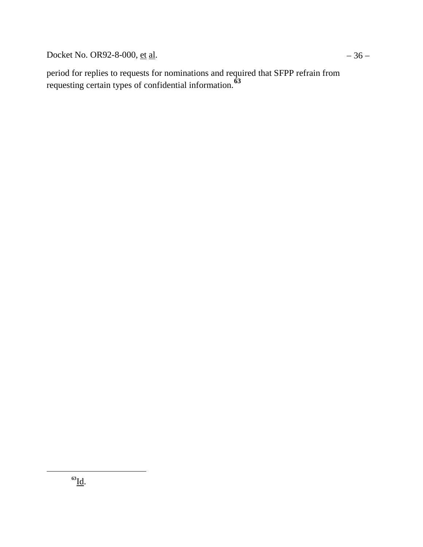Docket No. OR92-8-000, <u>et al</u>.  $-36 -$ 

<span id="page-39-0"></span>period for replies to requests for nominations and required that SFPP refrain from requesting certain types of confidential information.**[63](#page-39-0)**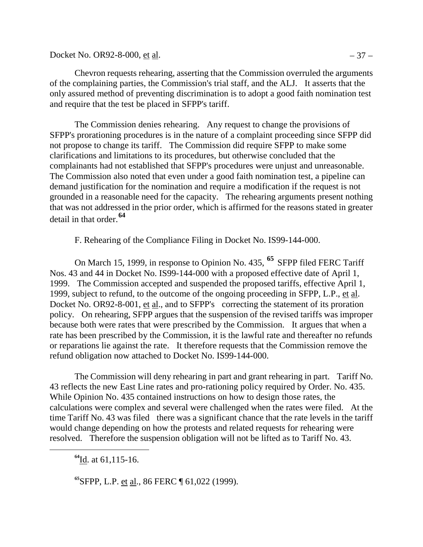Docket No. OR92-8-000, <u>et al</u>.  $-37 -$ 

Chevron requests rehearing, asserting that the Commission overruled the arguments of the complaining parties, the Commission's trial staff, and the ALJ. It asserts that the only assured method of preventing discrimination is to adopt a good faith nomination test and require that the test be placed in SFPP's tariff.

The Commission denies rehearing. Any request to change the provisions of SFPP's prorationing procedures is in the nature of a complaint proceeding since SFPP did not propose to change its tariff. The Commission did require SFPP to make some clarifications and limitations to its procedures, but otherwise concluded that the complainants had not established that SFPP's procedures were unjust and unreasonable. The Commission also noted that even under a good faith nomination test, a pipeline can demand justification for the nomination and require a modification if the request is not grounded in a reasonable need for the capacity. The rehearing arguments present nothing that was not addressed in the prior order, which is affirmed for the reasons stated in greater detail in that order.**[64](#page-40-0)**

F. Rehearing of the Compliance Filing in Docket No. IS99-144-000.

On March 15, 1999, in response to Opinion No. 435, **[65](#page-40-1)** SFPP filed FERC Tariff Nos. 43 and 44 in Docket No. IS99-144-000 with a proposed effective date of April 1, 1999. The Commission accepted and suspended the proposed tariffs, effective April 1, 1999, subject to refund, to the outcome of the ongoing proceeding in SFPP, L.P., et al. Docket No. OR92-8-001, et al., and to SFPP's correcting the statement of its proration policy. On rehearing, SFPP argues that the suspension of the revised tariffs was improper because both were rates that were prescribed by the Commission. It argues that when a rate has been prescribed by the Commission, it is the lawful rate and thereafter no refunds or reparations lie against the rate. It therefore requests that the Commission remove the refund obligation now attached to Docket No. IS99-144-000.

The Commission will deny rehearing in part and grant rehearing in part. Tariff No. 43 reflects the new East Line rates and pro-rationing policy required by Order. No. 435. While Opinion No. 435 contained instructions on how to design those rates, the calculations were complex and several were challenged when the rates were filed. At the time Tariff No. 43 was filed there was a significant chance that the rate levels in the tariff would change depending on how the protests and related requests for rehearing were resolved. Therefore the suspension obligation will not be lifted as to Tariff No. 43.

**<sup>64</sup>**Id. at 61,115-16.

<span id="page-40-1"></span><span id="page-40-0"></span> $\overline{a}$ 

**<sup>65</sup>**SFPP, L.P. et al., 86 FERC ¶ 61,022 (1999).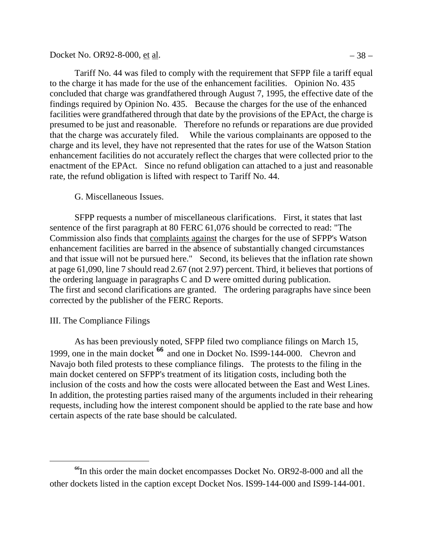### Docket No. OR92-8-000, <u>et al</u>.  $-38 -$

Tariff No. 44 was filed to comply with the requirement that SFPP file a tariff equal to the charge it has made for the use of the enhancement facilities. Opinion No. 435 concluded that charge was grandfathered through August 7, 1995, the effective date of the findings required by Opinion No. 435. Because the charges for the use of the enhanced facilities were grandfathered through that date by the provisions of the EPAct, the charge is presumed to be just and reasonable. Therefore no refunds or reparations are due provided that the charge was accurately filed. While the various complainants are opposed to the charge and its level, they have not represented that the rates for use of the Watson Station enhancement facilities do not accurately reflect the charges that were collected prior to the enactment of the EPAct. Since no refund obligation can attached to a just and reasonable rate, the refund obligation is lifted with respect to Tariff No. 44.

### G. Miscellaneous Issues.

SFPP requests a number of miscellaneous clarifications. First, it states that last sentence of the first paragraph at 80 FERC 61,076 should be corrected to read: "The Commission also finds that complaints against the charges for the use of SFPP's Watson enhancement facilities are barred in the absence of substantially changed circumstances and that issue will not be pursued here." Second, its believes that the inflation rate shown at page 61,090, line 7 should read 2.67 (not 2.97) percent. Third, it believes that portions of the ordering language in paragraphs C and D were omitted during publication. The first and second clarifications are granted. The ordering paragraphs have since been corrected by the publisher of the FERC Reports.

### III. The Compliance Filings

 $\overline{a}$ 

As has been previously noted, SFPP filed two compliance filings on March 15, 1999, one in the main docket **[66](#page-41-0)** and one in Docket No. IS99-144-000. Chevron and Navajo both filed protests to these compliance filings. The protests to the filing in the main docket centered on SFPP's treatment of its litigation costs, including both the inclusion of the costs and how the costs were allocated between the East and West Lines. In addition, the protesting parties raised many of the arguments included in their rehearing requests, including how the interest component should be applied to the rate base and how certain aspects of the rate base should be calculated.

<span id="page-41-0"></span>**<sup>66</sup>**In this order the main docket encompasses Docket No. OR92-8-000 and all the other dockets listed in the caption except Docket Nos. IS99-144-000 and IS99-144-001.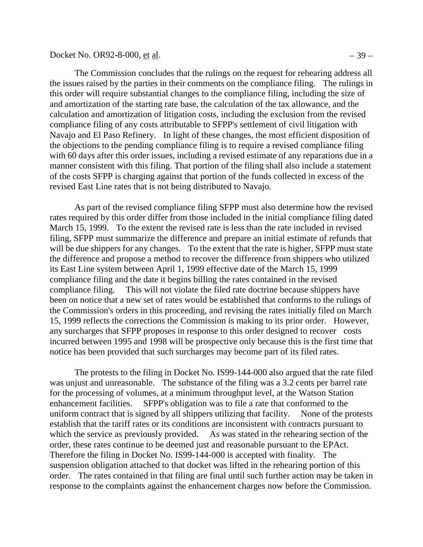The Commission concludes that the rulings on the request for rehearing address all the issues raised by the parties in their comments on the compliance filing. The rulings in this order will require substantial changes to the compliance filing, including the size of and amortization of the starting rate base, the calculation of the tax allowance, and the calculation and amortization of litigation costs, including the exclusion from the revised compliance filing of any costs attributable to SFPP's settlement of civil litigation with Navajo and El Paso Refinery. In light of these changes, the most efficient disposition of the objections to the pending compliance filing is to require a revised compliance filing with 60 days after this order issues, including a revised estimate of any reparations due in a manner consistent with this filing. That portion of the filing shall also include a statement of the costs SFPP is charging against that portion of the funds collected in excess of the revised East Line rates that is not being distributed to Navajo.

As part of the revised compliance filing SFPP must also determine how the revised rates required by this order differ from those included in the initial compliance filing dated March 15, 1999. To the extent the revised rate is less than the rate included in revised filing, SFPP must summarize the difference and prepare an initial estimate of refunds that will be due shippers for any changes. To the extent that the rate is higher, SFPP must state the difference and propose a method to recover the difference from shippers who utilized its East Line system between April 1, 1999 effective date of the March 15, 1999 compliance filing and the date it begins billing the rates contained in the revised compliance filing. This will not violate the filed rate doctrine because shippers have been on notice that a new set of rates would be established that conforms to the rulings of the Commission's orders in this proceeding, and revising the rates initially filed on March 15, 1999 reflects the corrections the Commission is making to its prior order. However, any surcharges that SFPP proposes in response to this order designed to recover costs incurred between 1995 and 1998 will be prospective only because this is the first time that notice has been provided that such surcharges may become part of its filed rates.

The protests to the filing in Docket No. IS99-144-000 also argued that the rate filed was unjust and unreasonable. The substance of the filing was a 3.2 cents per barrel rate for the processing of volumes, at a minimum throughput level, at the Watson Station enhancement facilities. SFPP's obligation was to file a rate that conformed to the uniform contract that is signed by all shippers utilizing that facility. None of the protests establish that the tariff rates or its conditions are inconsistent with contracts pursuant to which the service as previously provided. As was stated in the rehearing section of the order, these rates continue to be deemed just and reasonable pursuant to the EPAct. Therefore the filing in Docket No. IS99-144-000 is accepted with finality. The suspension obligation attached to that docket was lifted in the rehearing portion of this order. The rates contained in that filing are final until such further action may be taken in response to the complaints against the enhancement charges now before the Commission.